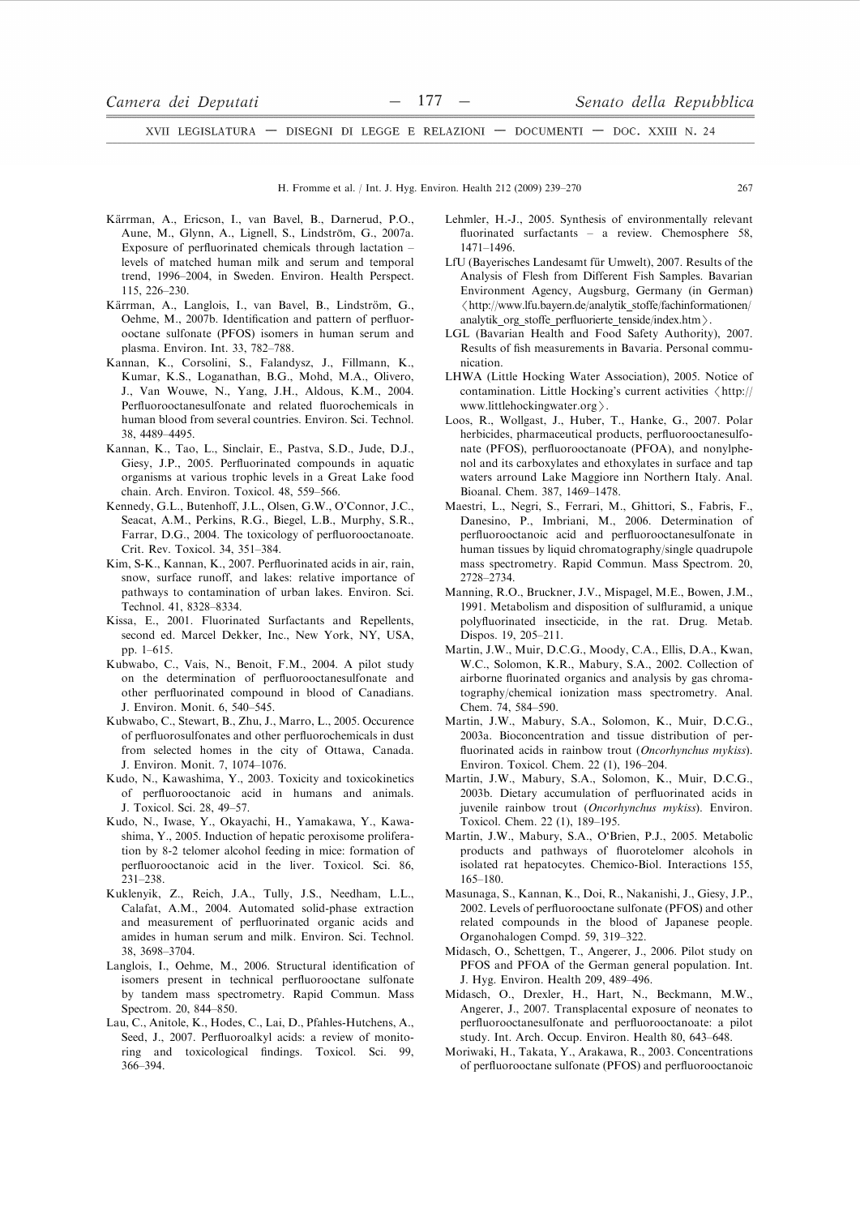H. Fromme et al. / Int. J. Hyg. Environ. Health 212 (2009) 239-270

- Kärrman, A., Ericson, I., van Bavel, B., Darnerud, P.O., Aune, M., Glynn, A., Lignell, S., Lindström, G., 2007a. Exposure of perfluorinated chemicals through lactation – levels of matched human milk and serum and temporal trend, 1996-2004, in Sweden. Environ. Health Perspect. 115, 226-230.
- Kärrman, A., Langlois, I., van Bavel, B., Lindström, G., Oehme, M., 2007b. Identification and pattern of perfluorooctane sulfonate (PFOS) isomers in human serum and plasma. Environ. Int. 33, 782-788.
- Kannan, K., Corsolini, S., Falandysz, J., Fillmann, K., Kumar, K.S., Loganathan, B.G., Mohd, M.A., Olivero, J., Van Wouwe, N., Yang, J.H., Aldous, K.M., 2004. Perfluorooctanesulfonate and related fluorochemicals in human blood from several countries. Environ. Sci. Technol. 38, 4489-4495.
- Kannan, K., Tao, L., Sinclair, E., Pastva, S.D., Jude, D.J., Giesy, J.P., 2005. Perfluorinated compounds in aquatic organisms at various trophic levels in a Great Lake food chain, Arch. Environ, Toxicol, 48, 559-566.
- Kennedy, G.L., Butenhoff, J.L., Olsen, G.W., O'Connor, J.C., Seacat, A.M., Perkins, R.G., Biegel, L.B., Murphy, S.R., Farrar, D.G., 2004. The toxicology of perfluorooctanoate. Crit. Rev. Toxicol. 34, 351-384.
- Kim, S-K., Kannan, K., 2007. Perfluorinated acids in air, rain, snow, surface runoff, and lakes: relative importance of pathways to contamination of urban lakes. Environ. Sci. Technol. 41, 8328-8334.
- Kissa, E., 2001. Fluorinated Surfactants and Repellents, second ed. Marcel Dekker, Inc., New York, NY, USA, pp. 1–615.
- Kubwabo, C., Vais, N., Benoit, F.M., 2004. A pilot study on the determination of perfluorooctanesulfonate and other perfluorinated compound in blood of Canadians. J. Environ. Monit. 6, 540-545.
- Kubwabo, C., Stewart, B., Zhu, J., Marro, L., 2005. Occurence of perfluorosulfonates and other perfluorochemicals in dust from selected homes in the city of Ottawa, Canada. J. Environ. Monit. 7, 1074-1076.
- Kudo, N., Kawashima, Y., 2003. Toxicity and toxicokinetics of perfluorooctanoic acid in humans and animals. J. Toxicol. Sci. 28, 49-57.
- Kudo, N., Iwase, Y., Okayachi, H., Yamakawa, Y., Kawashima, Y., 2005. Induction of hepatic peroxisome proliferation by 8-2 telomer alcohol feeding in mice: formation of perfluorooctanoic acid in the liver. Toxicol. Sci. 86,  $231 - 238$
- Kuklenyik, Z., Reich, J.A., Tully, J.S., Needham, L.L., Calafat, A.M., 2004. Automated solid-phase extraction and measurement of perfluorinated organic acids and amides in human serum and milk. Environ. Sci. Technol. 38, 3698-3704.
- Langlois, I., Oehme, M., 2006. Structural identification of isomers present in technical perfluorooctane sulfonate by tandem mass spectrometry. Rapid Commun. Mass Spectrom. 20, 844-850.
- Lau, C., Anitole, K., Hodes, C., Lai, D., Pfahles-Hutchens, A., Seed, J., 2007. Perfluoroalkyl acids: a review of monitoring and toxicological findings. Toxicol. Sci. 99, 366-394.
- Lehmler, H.-J., 2005. Synthesis of environmentally relevant fluorinated surfactants - a review. Chemosphere 58,  $1471 - 1496$
- LfU (Bayerisches Landesamt für Umwelt), 2007. Results of the Analysis of Flesh from Different Fish Samples. Bavarian Environment Agency, Augsburg, Germany (in German) <http://www.lfu.bayern.de/analytik stoffe/fachinformationen/ analytik org stoffe perfluorierte tenside/index.htm >.
- LGL (Bavarian Health and Food Safety Authority), 2007. Results of fish measurements in Bavaria. Personal communication.
- LHWA (Little Hocking Water Association), 2005. Notice of contamination. Little Hocking's current activities <http:// www.littlehockingwater.org >.
- Loos, R., Wollgast, J., Huber, T., Hanke, G., 2007. Polar herbicides, pharmaceutical products, perfluorooctanesulfonate (PFOS), perfluorooctanoate (PFOA), and nonylphenol and its carboxylates and ethoxylates in surface and tap waters arround Lake Maggiore inn Northern Italy. Anal. Bioanal, Chem. 387, 1469-1478.
- Maestri, L., Negri, S., Ferrari, M., Ghittori, S., Fabris, F., Danesino, P., Imbriani, M., 2006. Determination of perfluorooctanoic acid and perfluorooctanesulfonate in human tissues by liquid chromatography/single quadrupole mass spectrometry. Rapid Commun. Mass Spectrom. 20, 2728-2734
- Manning, R.O., Bruckner, J.V., Mispagel, M.E., Bowen, J.M., 1991. Metabolism and disposition of sulfluramid, a unique polyfluorinated insecticide, in the rat. Drug. Metab. Dispos. 19, 205-211.
- Martin, J.W., Muir, D.C.G., Moody, C.A., Ellis, D.A., Kwan, W.C., Solomon, K.R., Mabury, S.A., 2002. Collection of airborne fluorinated organics and analysis by gas chromatography/chemical ionization mass spectrometry. Anal. Chem. 74, 584-590.
- Martin, J.W., Mabury, S.A., Solomon, K., Muir, D.C.G., 2003a. Bioconcentration and tissue distribution of perfluorinated acids in rainbow trout (Oncorhynchus mykiss). Environ. Toxicol. Chem. 22 (1), 196-204.
- Martin, J.W., Mabury, S.A., Solomon, K., Muir, D.C.G., 2003b. Dietary accumulation of perfluorinated acids in juvenile rainbow trout (Oncorhynchus mykiss). Environ. Toxicol. Chem. 22 (1), 189-195.
- Martin, J.W., Mabury, S.A., O'Brien, P.J., 2005. Metabolic products and pathways of fluorotelomer alcohols in isolated rat hepatocytes. Chemico-Biol. Interactions 155,  $165 - 180$
- Masunaga, S., Kannan, K., Doi, R., Nakanishi, J., Giesy, J.P., 2002. Levels of perfluorooctane sulfonate (PFOS) and other related compounds in the blood of Japanese people. Organohalogen Compd. 59, 319-322.
- Midasch, O., Schettgen, T., Angerer, J., 2006. Pilot study on PFOS and PFOA of the German general population. Int. J. Hyg. Environ. Health 209, 489-496.
- Midasch, O., Drexler, H., Hart, N., Beckmann, M.W., Angerer, J., 2007. Transplacental exposure of neonates to perfluorooctanesulfonate and perfluorooctanoate: a pilot study. Int. Arch. Occup. Environ. Health 80, 643-648.
- Moriwaki, H., Takata, Y., Arakawa, R., 2003. Concentrations of perfluorooctane sulfonate (PFOS) and perfluorooctanoic

267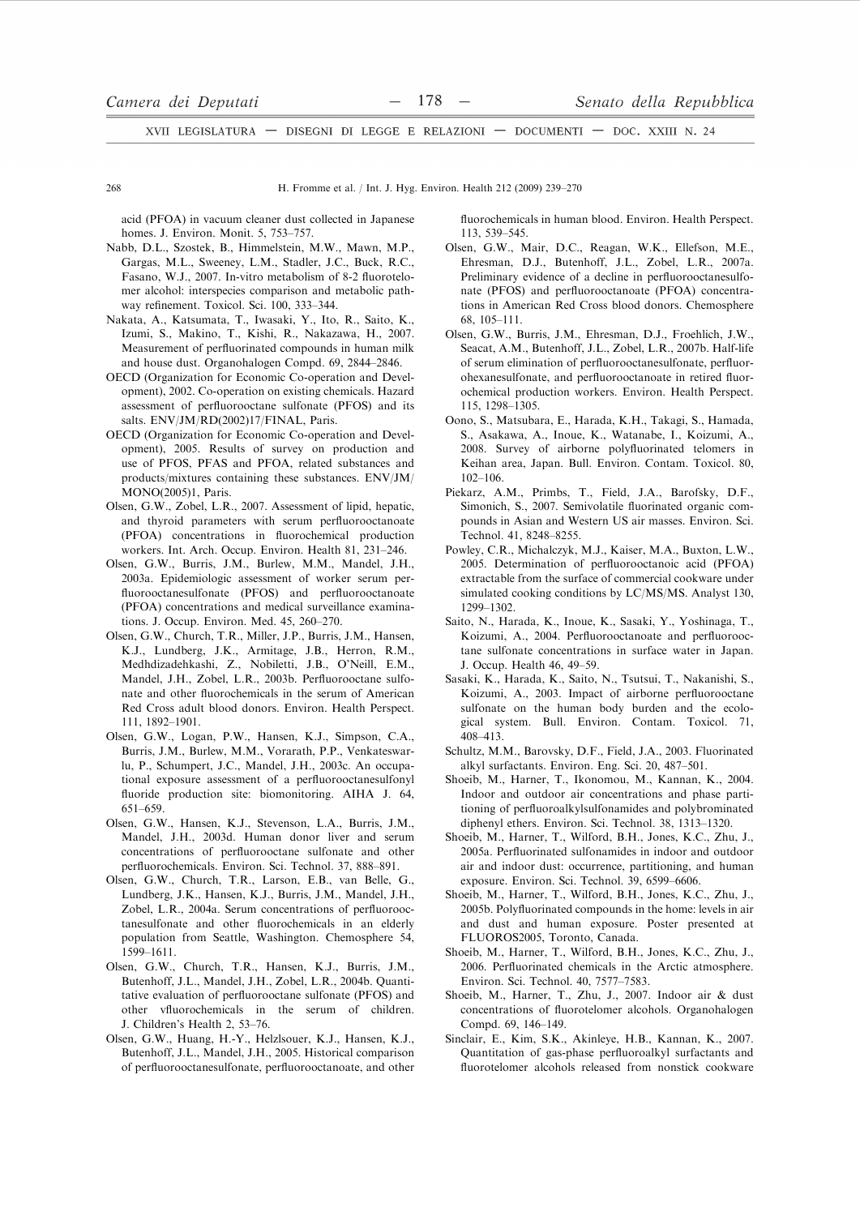268

H. Fromme et al. / Int. J. Hyg. Environ. Health 212 (2009) 239-270

acid (PFOA) in vacuum cleaner dust collected in Japanese homes. J. Environ. Monit. 5, 753-757.

- Nabb, D.L., Szostek, B., Himmelstein, M.W., Mawn, M.P., Gargas, M.L., Sweeney, L.M., Stadler, J.C., Buck, R.C., Fasano, W.J., 2007. In-vitro metabolism of 8-2 fluorotelomer alcohol: interspecies comparison and metabolic pathway refinement. Toxicol. Sci. 100, 333-344.
- Nakata, A., Katsumata, T., Iwasaki, Y., Ito, R., Saito, K., Izumi, S., Makino, T., Kishi, R., Nakazawa, H., 2007. Measurement of perfluorinated compounds in human milk and house dust. Organohalogen Compd. 69, 2844-2846.
- OECD (Organization for Economic Co-operation and Development), 2002. Co-operation on existing chemicals. Hazard assessment of perfluorooctane sulfonate (PFOS) and its salts. ENV/JM/RD(2002)17/FINAL, Paris.
- OECD (Organization for Economic Co-operation and Development), 2005. Results of survey on production and use of PFOS, PFAS and PFOA, related substances and products/mixtures containing these substances. ENV/JM/ MONO(2005)1, Paris.
- Olsen, G.W., Zobel, L.R., 2007. Assessment of lipid, hepatic, and thyroid parameters with serum perfluorooctanoate (PFOA) concentrations in fluorochemical production workers. Int. Arch. Occup. Environ. Health 81, 231-246.
- Olsen, G.W., Burris, J.M., Burlew, M.M., Mandel, J.H., 2003a. Epidemiologic assessment of worker serum perfluorooctanesulfonate (PFOS) and perfluorooctanoate (PFOA) concentrations and medical surveillance examinations. J. Occup. Environ. Med. 45, 260-270.
- Olsen, G.W., Church, T.R., Miller, J.P., Burris, J.M., Hansen, K.J., Lundberg, J.K., Armitage, J.B., Herron, R.M., Medhdizadehkashi, Z., Nobiletti, J.B., O'Neill, E.M., Mandel, J.H., Zobel, L.R., 2003b. Perfluorooctane sulfonate and other fluorochemicals in the serum of American Red Cross adult blood donors. Environ. Health Perspect. 111. 1892-1901.
- Olsen, G.W., Logan, P.W., Hansen, K.J., Simpson, C.A., Burris, J.M., Burlew, M.M., Vorarath, P.P., Venkateswarlu, P., Schumpert, J.C., Mandel, J.H., 2003c. An occupational exposure assessment of a perfluorooctanesulfonyl fluoride production site: biomonitoring. AIHA J. 64, 651-659
- Olsen, G.W., Hansen, K.J., Stevenson, L.A., Burris, J.M., Mandel, J.H., 2003d. Human donor liver and serum concentrations of perfluorooctane sulfonate and other perfluorochemicals. Environ. Sci. Technol. 37, 888-891.
- Olsen G.W. Church T.R. Larson E.B. van Belle G. Lundberg, J.K., Hansen, K.J., Burris, J.M., Mandel, J.H., Zobel, L.R., 2004a. Serum concentrations of perfluorooctanesulfonate and other fluorochemicals in an elderly population from Seattle, Washington. Chemosphere 54,  $1599 - 1611.$
- Olsen, G.W., Church, T.R., Hansen, K.J., Burris, J.M., Butenhoff, J.L., Mandel, J.H., Zobel, L.R., 2004b. Quantitative evaluation of perfluorooctane sulfonate (PFOS) and other vfluorochemicals in the serum of children. J. Children's Health 2, 53-76.
- Olsen, G.W., Huang, H.-Y., Helzlsouer, K.J., Hansen, K.J., Butenhoff, J.L., Mandel, J.H., 2005. Historical comparison of perfluorooctanesulfonate, perfluorooctanoate, and other

fluorochemicals in human blood. Environ. Health Perspect. 113 539 - 545

- Olsen, G.W., Mair, D.C., Reagan, W.K., Ellefson, M.E., Ehresman, D.J., Butenhoff, J.L., Zobel, L.R., 2007a. Preliminary evidence of a decline in perfluorooctanesulfonate (PFOS) and perfluorooctanoate (PFOA) concentrations in American Red Cross blood donors. Chemosphere  $68.105 - 111.$
- Olsen, G.W., Burris, J.M., Ehresman, D.J., Froehlich, J.W., Seacat, A.M., Butenhoff, J.L., Zobel, L.R., 2007b. Half-life of serum elimination of perfluorooctanesulfonate, perfluorohexanesulfonate, and perfluorooctanoate in retired fluorochemical production workers. Environ. Health Perspect. 115, 1298-1305.
- Oono, S., Matsubara, E., Harada, K.H., Takagi, S., Hamada, S., Asakawa, A., Inoue, K., Watanabe, I., Koizumi, A., 2008. Survey of airborne polyfluorinated telomers in Keihan area, Japan. Bull. Environ. Contam. Toxicol. 80,  $102 - 106$
- Piekarz, A.M., Primbs, T., Field, J.A., Barofsky, D.F., Simonich, S., 2007. Semivolatile fluorinated organic compounds in Asian and Western US air masses. Environ. Sci. Technol. 41, 8248-8255.
- Powley, C.R., Michalczyk, M.J., Kaiser, M.A., Buxton, L.W., 2005. Determination of perfluorooctanoic acid (PFOA) extractable from the surface of commercial cookware under simulated cooking conditions by LC/MS/MS. Analyst 130, 1299-1302.
- Saito, N., Harada, K., Inoue, K., Sasaki, Y., Yoshinaga, T., Koizumi, A., 2004. Perfluorooctanoate and perfluorooctane sulfonate concentrations in surface water in Japan. J. Occup. Health 46, 49-59.
- Sasaki, K., Harada, K., Saito, N., Tsutsui, T., Nakanishi, S., Koizumi, A., 2003. Impact of airborne perfluorooctane sulfonate on the human body burden and the ecological system. Bull. Environ. Contam. Toxicol. 71, 408-413.
- Schultz, M.M., Barovsky, D.F., Field, J.A., 2003. Fluorinated alkyl surfactants. Environ. Eng. Sci. 20, 487-501.
- Shoeib, M., Harner, T., Ikonomou, M., Kannan, K., 2004. Indoor and outdoor air concentrations and phase partitioning of perfluoroalkylsulfonamides and polybrominated diphenyl ethers. Environ. Sci. Technol. 38, 1313-1320.
- Shoeib, M., Harner, T., Wilford, B.H., Jones, K.C., Zhu, J., 2005a. Perfluorinated sulfonamides in indoor and outdoor air and indoor dust: occurrence, partitioning, and human exposure. Environ. Sci. Technol. 39, 6599-6606.
- Shoeib, M., Harner, T., Wilford, B.H., Jones, K.C., Zhu, J., 2005b. Polyfluorinated compounds in the home: levels in air and dust and human exposure. Poster presented at FLUOROS2005, Toronto, Canada.
- Shoeib, M., Harner, T., Wilford, B.H., Jones, K.C., Zhu, J., 2006. Perfluorinated chemicals in the Arctic atmosphere. Environ. Sci. Technol. 40, 7577-7583.
- Shoeib, M., Harner, T., Zhu, J., 2007. Indoor air & dust concentrations of fluorotelomer alcohols. Organohalogen Compd. 69, 146-149.
- Sinclair, E., Kim, S.K., Akinleye, H.B., Kannan, K., 2007. Quantitation of gas-phase perfluoroalkyl surfactants and fluorotelomer alcohols released from nonstick cookware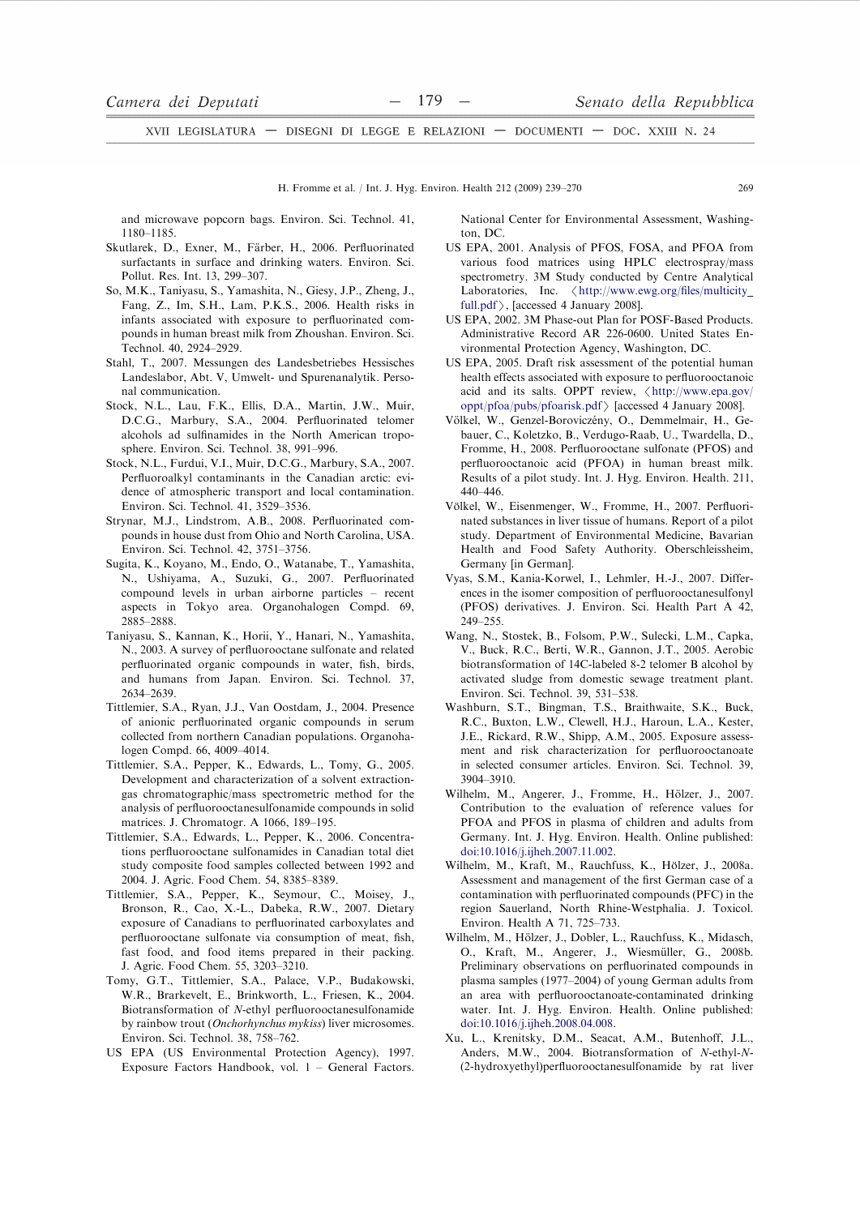and microwave popcorn bags. Environ. Sci. Technol. 41, 1180-1185

- Skutlarek, D., Exner, M., Färber, H., 2006. Perfluorinated surfactants in surface and drinking waters. Environ. Sci. Pollut. Res. Int. 13, 299-307.
- So, M.K., Taniyasu, S., Yamashita, N., Giesy, J.P., Zheng, J., Fang, Z., Im, S.H., Lam, P.K.S., 2006. Health risks in infants associated with exposure to perfluorinated compounds in human breast milk from Zhoushan. Environ. Sci. Technol 40 2924-2929
- Stahl, T., 2007. Messungen des Landesbetriebes Hessisches Landeslabor, Abt. V, Umwelt- und Spurenanalytik. Personal communication.
- Stock, N.L., Lau, F.K., Ellis, D.A., Martin, J.W., Muir, D.C.G., Marbury, S.A., 2004. Perfluorinated telomer alcohols ad sulfinamides in the North American troposphere. Environ. Sci. Technol. 38, 991-996.
- Stock, N.L., Furdui, V.I., Muir, D.C.G., Marbury, S.A., 2007. Perfluoroalkyl contaminants in the Canadian arctic: evidence of atmospheric transport and local contamination. Environ. Sci. Technol. 41, 3529-3536.
- Strynar, M.J., Lindstrom, A.B., 2008. Perfluorinated compounds in house dust from Ohio and North Carolina, USA. Environ. Sci. Technol. 42, 3751-3756.
- Sugita, K., Kovano, M., Endo, O., Watanabe, T., Yamashita, N., Ushiyama, A., Suzuki, G., 2007. Perfluorinated compound levels in urban airborne particles - recent aspects in Tokyo area. Organohalogen Compd. 69, 2885-2888
- Taniyasu, S., Kannan, K., Horii, Y., Hanari, N., Yamashita, N., 2003. A survey of perfluorooctane sulfonate and related perfluorinated organic compounds in water, fish, birds, and humans from Japan. Environ. Sci. Technol. 37, 2634-2639.
- Tittlemier, S.A., Ryan, J.J., Van Oostdam, J., 2004. Presence of anionic perfluorinated organic compounds in serum collected from northern Canadian populations. Organohalogen Compd. 66, 4009-4014.
- Tittlemier, S.A., Pepper, K., Edwards, L., Tomy, G., 2005. Development and characterization of a solvent extractiongas chromatographic/mass spectrometric method for the analysis of perfluorooctanesulfonamide compounds in solid matrices. J. Chromatogr. A 1066, 189-195.
- Tittlemier, S.A., Edwards, L., Pepper, K., 2006. Concentrations perfluorooctane sulfonamides in Canadian total diet study composite food samples collected between 1992 and 2004. J. Agric. Food Chem. 54, 8385-8389.
- Tittlemier, S.A., Pepper, K., Seymour, C., Moisey, J., Bronson, R., Cao, X.-L., Dabeka, R.W., 2007. Dietary exposure of Canadians to perfluorinated carboxylates and perfluorooctane sulfonate via consumption of meat, fish, fast food, and food items prepared in their packing. J. Agric. Food Chem. 55, 3203-3210.
- Tomy, G.T., Tittlemier, S.A., Palace, V.P., Budakowski, W.R., Brarkevelt, E., Brinkworth, L., Friesen, K., 2004. Biotransformation of N-ethyl perfluorooctanesulfonamide by rainbow trout (Onchorhynchus mykiss) liver microsomes. Environ, Sci. Technol. 38, 758-762.
- US EPA (US Environmental Protection Agency), 1997. Exposure Factors Handbook, vol. 1 - General Factors.

National Center for Environmental Assessment, Washington. DC

- US EPA, 2001. Analysis of PFOS, FOSA, and PFOA from various food matrices using HPLC electrospray/mass spectrometry. 3M Study conducted by Centre Analytical Laboratories, Inc. <http://www.ewg.org/files/multicity\_ full.pdf >, [accessed 4 January 2008].
- US EPA, 2002. 3M Phase-out Plan for POSF-Based Products. Administrative Record AR 226-0600. United States Environmental Protection Agency, Washington, DC.
- US EPA, 2005. Draft risk assessment of the potential human health effects associated with exposure to perfluorooctanoic acid and its salts. OPPT review, <http://www.epa.gov/ oppt/pfoa/pubs/pfoarisk.pdf > [accessed 4 January 2008].
- Völkel, W., Genzel-Boroviczény, O., Demmelmair, H., Gebauer, C., Koletzko, B., Verdugo-Raab, U., Twardella, D., Fromme, H., 2008. Perfluorooctane sulfonate (PFOS) and perfluorooctanoic acid (PFOA) in human breast milk. Results of a pilot study. Int. J. Hyg. Environ. Health. 211,  $440 - 446$
- Völkel, W., Eisenmenger, W., Fromme, H., 2007. Perfluorinated substances in liver tissue of humans. Report of a pilot study. Department of Environmental Medicine, Bavarian Health and Food Safety Authority. Oberschleissheim, Germany [in German].
- Vyas, S.M., Kania-Korwel, I., Lehmler, H.-J., 2007. Differences in the isomer composition of perfluorooctanesulfonyl (PFOS) derivatives. J. Environ. Sci. Health Part A 42,  $249 - 255$
- Wang, N., Stostek, B., Folsom, P.W., Sulecki, L.M., Capka, V., Buck, R.C., Berti, W.R., Gannon, J.T., 2005. Aerobic biotransformation of 14C-labeled 8-2 telomer B alcohol by activated sludge from domestic sewage treatment plant. Environ. Sci. Technol. 39, 531-538.
- Washburn, S.T., Bingman, T.S., Braithwaite, S.K., Buck, R.C., Buxton, L.W., Clewell, H.J., Haroun, L.A., Kester, J.E., Rickard, R.W., Shipp, A.M., 2005. Exposure assessment and risk characterization for perfluorooctanoate in selected consumer articles. Environ. Sci. Technol. 39, 3904-3910
- Wilhelm, M., Angerer, J., Fromme, H., Hölzer, J., 2007. Contribution to the evaluation of reference values for PFOA and PFOS in plasma of children and adults from Germany. Int. J. Hyg. Environ. Health. Online published: doi:10.1016/j.ijheh.2007.11.002.
- Wilhelm, M., Kraft, M., Rauchfuss, K., Hölzer, J., 2008a. Assessment and management of the first German case of a contamination with perfluorinated compounds (PFC) in the region Sauerland, North Rhine-Westphalia. J. Toxicol. Environ. Health A 71, 725-733.
- Wilhelm, M., Hölzer, J., Dobler, L., Rauchfuss, K., Midasch, O., Kraft, M., Angerer, J., Wiesmüller, G., 2008b. Preliminary observations on perfluorinated compounds in plasma samples (1977–2004) of young German adults from an area with perfluorooctanoate-contaminated drinking water. Int. J. Hyg. Environ. Health. Online published: doi:10.1016/j.ijheh.2008.04.008.
- Xu, L., Krenitsky, D.M., Seacat, A.M., Butenhoff, J.L., Anders, M.W., 2004. Biotransformation of N-ethyl-N-(2-hydroxyethyl)perfluorooctanesulfonamide by rat liver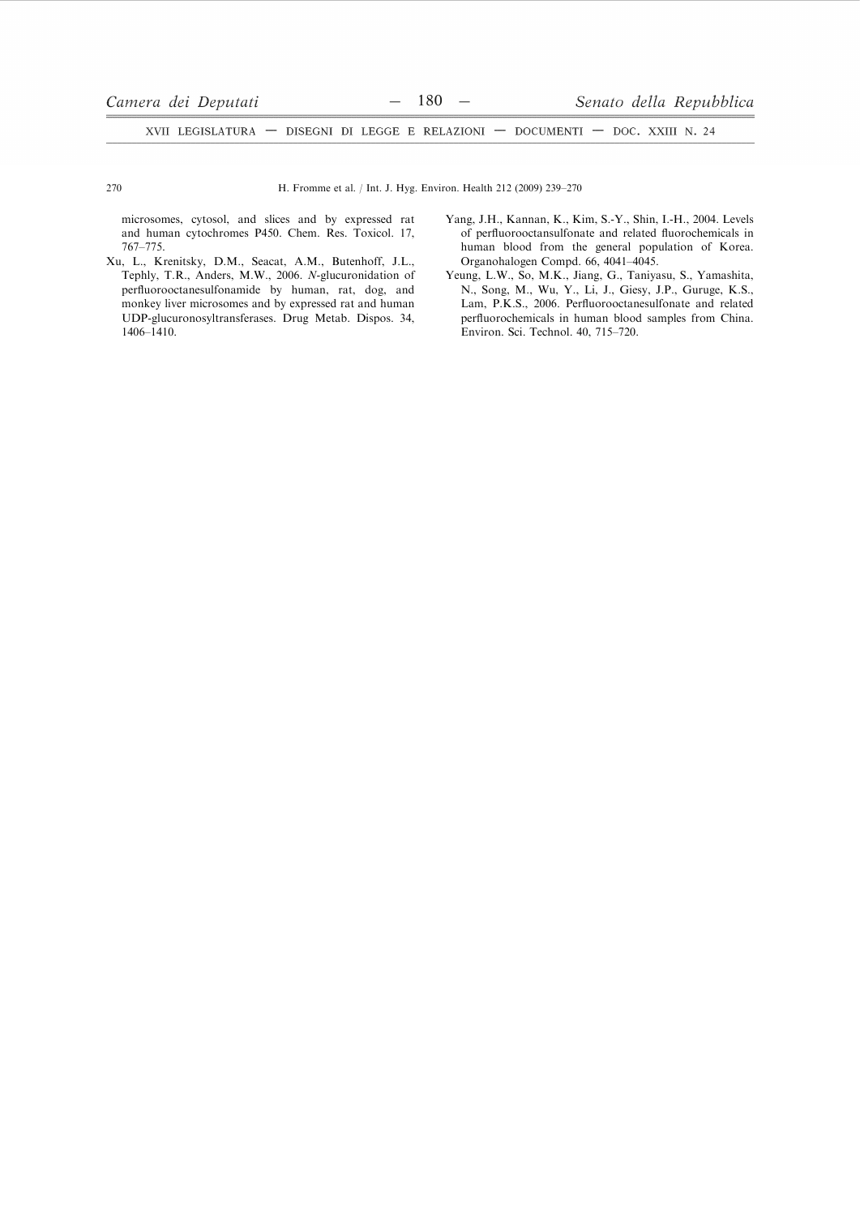270

H. Fromme et al. / Int. J. Hyg. Environ. Health 212 (2009) 239-270

microsomes, cytosol, and slices and by expressed rat and human cytochromes P450. Chem. Res. Toxicol. 17, 767-775.

- Xu, L., Krenitsky, D.M., Seacat, A.M., Butenhoff, J.L., Tephly, T.R., Anders, M.W., 2006. N-glucuronidation of perfluorooctanesulfonamide by human, rat, dog, and monkey liver microsomes and by expressed rat and human UDP-glucuronosyltransferases. Drug Metab. Dispos. 34,  $1406 - 1410.$
- Yang, J.H., Kannan, K., Kim, S.-Y., Shin, I.-H., 2004. Levels of perfluorooctansulfonate and related fluorochemicals in human blood from the general population of Korea. Organohalogen Compd. 66, 4041-4045.
- Yeung, L.W., So, M.K., Jiang, G., Taniyasu, S., Yamashita, N., Song, M., Wu, Y., Li, J., Giesy, J.P., Guruge, K.S., Lam, P.K.S., 2006. Perfluorooctanesulfonate and related perfluorochemicals in human blood samples from China. Environ. Sci. Technol. 40, 715-720.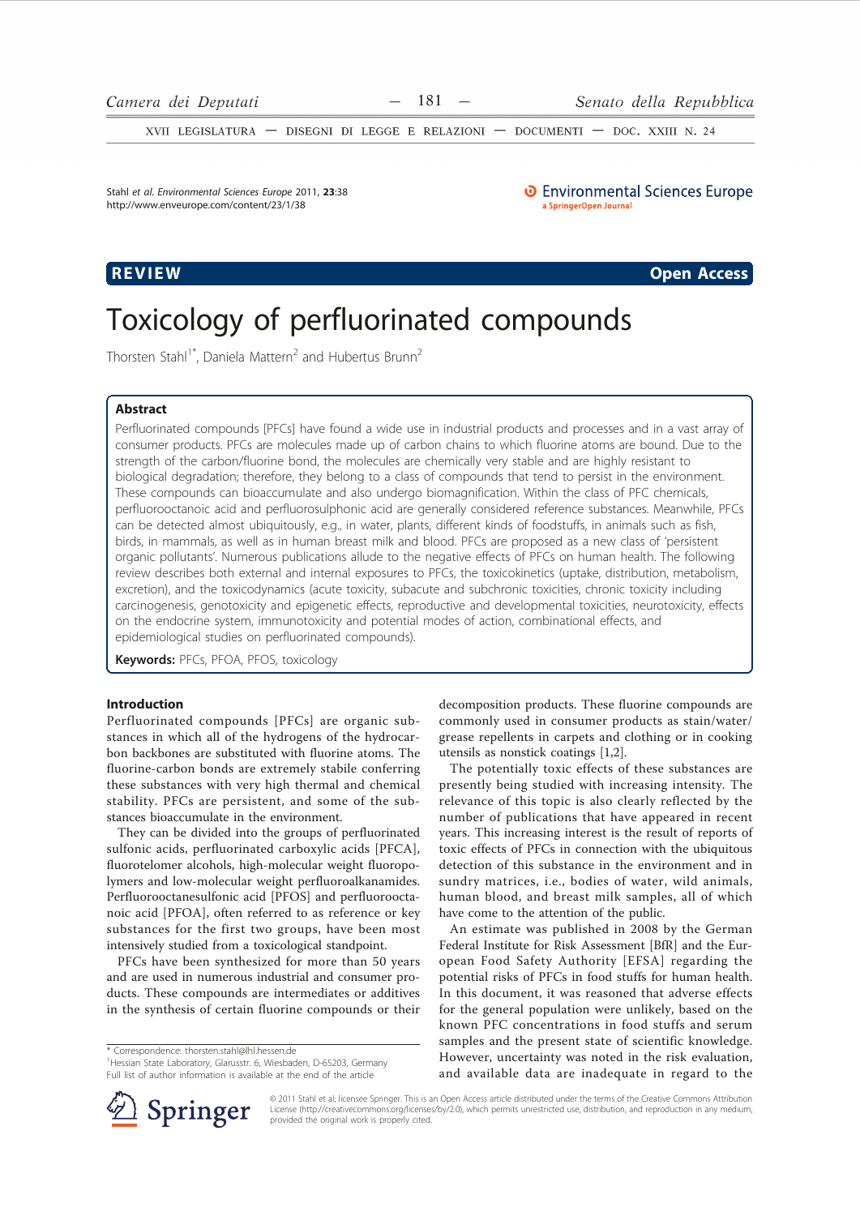XVII LEGISLATURA - DISEGNI DI LEGGE E RELAZIONI - DOCUMENTI - DOC. XXIII N. 24

Stahl et al. Environmental Sciences Europe 2011. 23:38 http://www.enveurope.com/content/23/1/38

# REVIEW

**O** Environmental Sciences Europe a SpringerOpen Journal

**Open Access** 

# Toxicology of perfluorinated compounds

Thorsten Stahl<sup>1\*</sup>, Daniela Mattern<sup>2</sup> and Hubertus Brunn<sup>2</sup>

# **Abstract**

Perfluorinated compounds [PFCs] have found a wide use in industrial products and processes and in a vast array of consumer products. PFCs are molecules made up of carbon chains to which fluorine atoms are bound. Due to the strength of the carbon/fluorine bond, the molecules are chemically very stable and are highly resistant to biological degradation; therefore, they belong to a class of compounds that tend to persist in the environment. These compounds can bioaccumulate and also undergo biomagnification. Within the class of PFC chemicals, perfluorooctanoic acid and perfluorosulphonic acid are generally considered reference substances. Meanwhile, PFCs can be detected almost ubiquitously, e.g., in water, plants, different kinds of foodstuffs, in animals such as fish, birds, in mammals, as well as in human breast milk and blood. PFCs are proposed as a new class of 'persistent organic pollutants'. Numerous publications allude to the negative effects of PFCs on human health. The following review describes both external and internal exposures to PFCs, the toxicokinetics (uptake, distribution, metabolism, excretion), and the toxicodynamics (acute toxicity, subacute and subchronic toxicities, chronic toxicity including carcinogenesis, genotoxicity and epigenetic effects, reproductive and developmental toxicities, neurotoxicity, effects on the endocrine system, immunotoxicity and potential modes of action, combinational effects, and epidemiological studies on perfluorinated compounds).

Keywords: PFCs, PFOA, PFOS, toxicology

# **Introduction**

Perfluorinated compounds [PFCs] are organic substances in which all of the hydrogens of the hydrocarbon backbones are substituted with fluorine atoms. The fluorine-carbon bonds are extremely stabile conferring these substances with very high thermal and chemical stability. PFCs are persistent, and some of the substances bioaccumulate in the environment.

They can be divided into the groups of perfluorinated sulfonic acids, perfluorinated carboxylic acids [PFCA], fluorotelomer alcohols, high-molecular weight fluoropolymers and low-molecular weight perfluoroalkanamides. Perfluorooctanesulfonic acid [PFOS] and perfluorooctanoic acid [PFOA], often referred to as reference or key substances for the first two groups, have been most intensively studied from a toxicological standpoint.

PFCs have been synthesized for more than 50 years and are used in numerous industrial and consumer products. These compounds are intermediates or additives in the synthesis of certain fluorine compounds or their

\* Correspondence: thorsten.stahl@lhl.hessen.de

<sup>1</sup> Hessian State Laboratory, Glarusstr, 6, Wiesbaden, D-65203, Germany Full list of author information is available at the end of the article



The potentially toxic effects of these substances are presently being studied with increasing intensity. The relevance of this topic is also clearly reflected by the number of publications that have appeared in recent years. This increasing interest is the result of reports of toxic effects of PFCs in connection with the ubiquitous detection of this substance in the environment and in sundry matrices, i.e., bodies of water, wild animals, human blood, and breast milk samples, all of which have come to the attention of the public.

An estimate was published in 2008 by the German Federal Institute for Risk Assessment [BfR] and the European Food Safety Authority [EFSA] regarding the potential risks of PFCs in food stuffs for human health. In this document, it was reasoned that adverse effects for the general population were unlikely, based on the known PFC concentrations in food stuffs and serum samples and the present state of scientific knowledge. However, uncertainty was noted in the risk evaluation, and available data are inadequate in regard to the



@ 2011 Stahl et al; licensee Springer. This is an Open Access article distributed under the terms of the Creative Commons Attribution License (http://creativecommons.org/licenses/by/2.0), which permits unrestricted use, distribution, and reproduction in any medium, provided the original work is properly cited.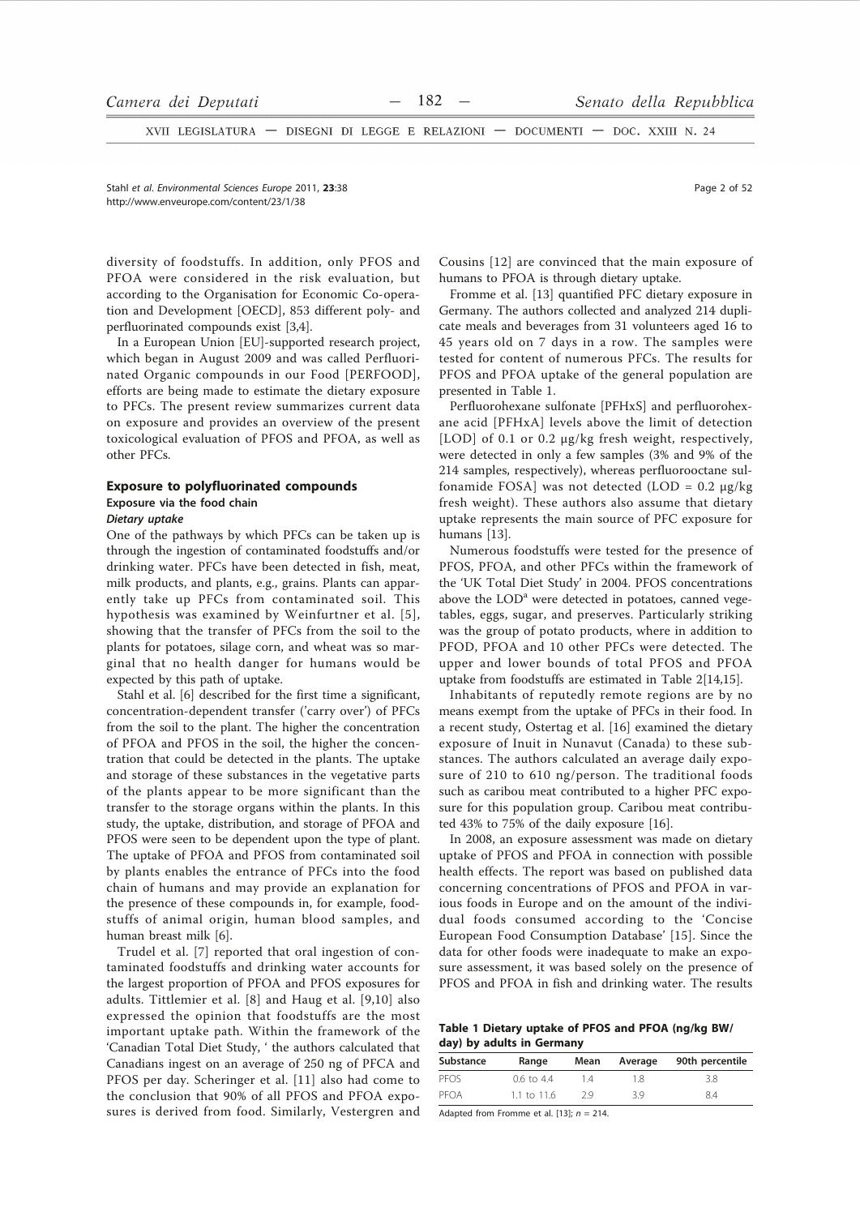XVII LEGISLATURA - DISEGNI DI LEGGE E RELAZIONI - DOCUMENTI - DOC. XXIII N. 24

Stahl et al. Environmental Sciences Europe 2011, 23:38 http://www.enveurope.com/content/23/1/38

diversity of foodstuffs. In addition, only PFOS and PFOA were considered in the risk evaluation, but according to the Organisation for Economic Co-operation and Development [OECD], 853 different poly- and perfluorinated compounds exist [3,4].

In a European Union [EU]-supported research project, which began in August 2009 and was called Perfluorinated Organic compounds in our Food [PERFOOD], efforts are being made to estimate the dietary exposure to PFCs. The present review summarizes current data on exposure and provides an overview of the present toxicological evaluation of PFOS and PFOA, as well as other PFCs.

# **Exposure to polyfluorinated compounds** Exposure via the food chain

# Dietary uptake

One of the pathways by which PFCs can be taken up is through the ingestion of contaminated foodstuffs and/or drinking water. PFCs have been detected in fish, meat, milk products, and plants, e.g., grains. Plants can apparently take up PFCs from contaminated soil. This hypothesis was examined by Weinfurtner et al. [5], showing that the transfer of PFCs from the soil to the plants for potatoes, silage corn, and wheat was so marginal that no health danger for humans would be expected by this path of uptake.

Stahl et al. [6] described for the first time a significant, concentration-dependent transfer ('carry over') of PFCs from the soil to the plant. The higher the concentration of PFOA and PFOS in the soil, the higher the concentration that could be detected in the plants. The uptake and storage of these substances in the vegetative parts of the plants appear to be more significant than the transfer to the storage organs within the plants. In this study, the uptake, distribution, and storage of PFOA and PFOS were seen to be dependent upon the type of plant. The uptake of PFOA and PFOS from contaminated soil by plants enables the entrance of PFCs into the food chain of humans and may provide an explanation for the presence of these compounds in, for example, foodstuffs of animal origin, human blood samples, and human breast milk [6].

Trudel et al. [7] reported that oral ingestion of contaminated foodstuffs and drinking water accounts for the largest proportion of PFOA and PFOS exposures for adults. Tittlemier et al. [8] and Haug et al. [9,10] also expressed the opinion that foodstuffs are the most important uptake path. Within the framework of the 'Canadian Total Diet Study, ' the authors calculated that Canadians ingest on an average of 250 ng of PFCA and PFOS per day. Scheringer et al. [11] also had come to the conclusion that 90% of all PFOS and PFOA exposures is derived from food. Similarly, Vestergren and Cousins [12] are convinced that the main exposure of humans to PFOA is through dietary uptake.

Fromme et al. [13] quantified PFC dietary exposure in Germany. The authors collected and analyzed 214 duplicate meals and beverages from 31 volunteers aged 16 to 45 years old on 7 days in a row. The samples were tested for content of numerous PFCs. The results for PFOS and PFOA uptake of the general population are presented in Table 1.

Perfluorohexane sulfonate [PFHxS] and perfluorohexane acid [PFHxA] levels above the limit of detection [LOD] of 0.1 or 0.2 µg/kg fresh weight, respectively, were detected in only a few samples (3% and 9% of the 214 samples, respectively), whereas perfluorooctane sulfonamide FOSA] was not detected (LOD =  $0.2 \mu$ g/kg fresh weight). These authors also assume that dietary uptake represents the main source of PFC exposure for humans [13].

Numerous foodstuffs were tested for the presence of PFOS, PFOA, and other PFCs within the framework of the 'UK Total Diet Study' in 2004. PFOS concentrations above the LOD<sup>a</sup> were detected in potatoes, canned vegetables, eggs, sugar, and preserves. Particularly striking was the group of potato products, where in addition to PFOD, PFOA and 10 other PFCs were detected. The upper and lower bounds of total PFOS and PFOA uptake from foodstuffs are estimated in Table 2[14,15].

Inhabitants of reputedly remote regions are by no means exempt from the uptake of PFCs in their food. In a recent study, Ostertag et al. [16] examined the dietary exposure of Inuit in Nunavut (Canada) to these substances. The authors calculated an average daily exposure of 210 to 610 ng/person. The traditional foods such as caribou meat contributed to a higher PFC exposure for this population group. Caribou meat contributed 43% to 75% of the daily exposure [16].

In 2008, an exposure assessment was made on dietary uptake of PFOS and PFOA in connection with possible health effects. The report was based on published data concerning concentrations of PFOS and PFOA in various foods in Europe and on the amount of the individual foods consumed according to the 'Concise European Food Consumption Database' [15]. Since the data for other foods were inadequate to make an exposure assessment, it was based solely on the presence of PFOS and PFOA in fish and drinking water. The results

Table 1 Dietary uptake of PFOS and PFOA (ng/kg BW/ day) by adults in Germany

| Substance | Range                 | Mean | Average | 90th percentile |
|-----------|-----------------------|------|---------|-----------------|
| PEOS      | $0.6 \text{ to } 4.4$ | 14   | 18      | 3.8             |
| PEOA      | 1.1 to $11.6$         | 29   | 3.9     | 84              |

Adapted from Fromme et al. [13]:  $n = 214$ .

Page 2 of 52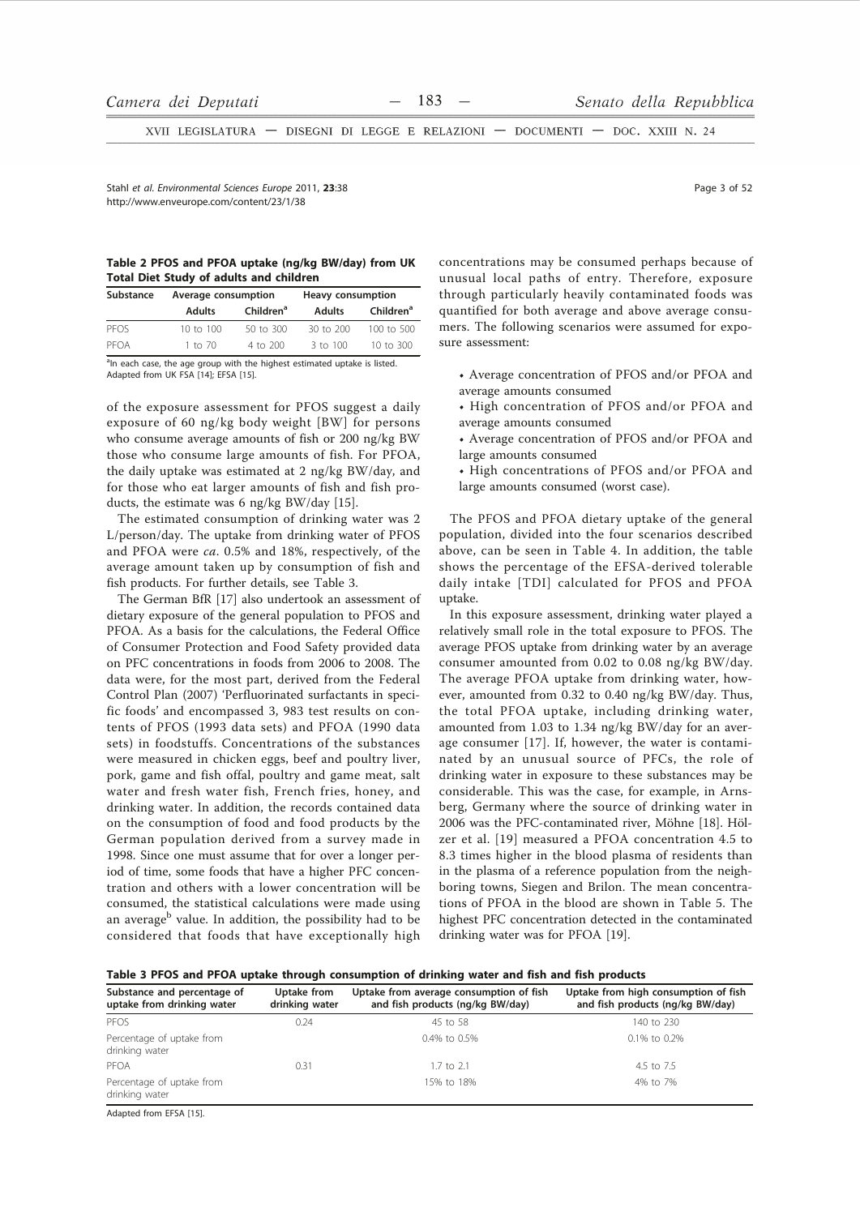XVII LEGISLATURA - DISEGNI DI LEGGE E RELAZIONI - DOCUMENTI - DOC. XXIII N. 24

Stabl et al Environmental Sciences Eurone 2011 23:38 http://www.enveurope.com/content/23/1/38

|  |  |                                                | Table 2 PFOS and PFOA uptake (ng/kg BW/day) from UK |  |
|--|--|------------------------------------------------|-----------------------------------------------------|--|
|  |  | <b>Total Diet Study of adults and children</b> |                                                     |  |

| Substance | Average consumption |                       | Heavy consumption   |                       |
|-----------|---------------------|-----------------------|---------------------|-----------------------|
|           | <b>Adults</b>       | Children <sup>a</sup> | <b>Adults</b>       | Children <sup>a</sup> |
| PEOS      | 10 to $100$         | 50 to 300             | 30 to 200           | 100 to 500            |
| PFOA      | $1$ to $70$         | 4 to 200              | $3 \text{ to } 100$ | 10 to 300             |

<sup>a</sup>In each case, the age group with the highest estimated uptake is listed. Adapted from UK FSA [14]; EFSA [15].

of the exposure assessment for PFOS suggest a daily exposure of 60 ng/kg body weight [BW] for persons who consume average amounts of fish or 200 ng/kg BW those who consume large amounts of fish. For PFOA, the daily uptake was estimated at 2 ng/kg BW/day, and for those who eat larger amounts of fish and fish products, the estimate was 6 ng/kg BW/day [15].

The estimated consumption of drinking water was 2 L/person/day. The uptake from drinking water of PFOS and PFOA were ca. 0.5% and 18%, respectively, of the average amount taken up by consumption of fish and fish products. For further details, see Table 3.

The German BfR [17] also undertook an assessment of dietary exposure of the general population to PFOS and PFOA. As a basis for the calculations, the Federal Office of Consumer Protection and Food Safety provided data on PFC concentrations in foods from 2006 to 2008. The data were, for the most part, derived from the Federal Control Plan (2007) 'Perfluorinated surfactants in specific foods' and encompassed 3, 983 test results on contents of PFOS (1993 data sets) and PFOA (1990 data sets) in foodstuffs. Concentrations of the substances were measured in chicken eggs, beef and poultry liver, pork, game and fish offal, poultry and game meat, salt water and fresh water fish, French fries, honey, and drinking water. In addition, the records contained data on the consumption of food and food products by the German population derived from a survey made in 1998. Since one must assume that for over a longer period of time, some foods that have a higher PFC concentration and others with a lower concentration will be consumed, the statistical calculations were made using an average<sup>b</sup> value. In addition, the possibility had to be considered that foods that have exceptionally high

concentrations may be consumed perhaps because of unusual local paths of entry. Therefore, exposure through particularly heavily contaminated foods was quantified for both average and above average consumers. The following scenarios were assumed for exposure assessment:

- Average concentration of PFOS and/or PFOA and average amounts consumed
- High concentration of PFOS and/or PFOA and average amounts consumed
- Average concentration of PFOS and/or PFOA and large amounts consumed
- High concentrations of PFOS and/or PFOA and large amounts consumed (worst case).

The PFOS and PFOA dietary uptake of the general population, divided into the four scenarios described above, can be seen in Table 4. In addition, the table shows the percentage of the EFSA-derived tolerable daily intake [TDI] calculated for PFOS and PFOA uptake.

In this exposure assessment, drinking water played a relatively small role in the total exposure to PFOS. The average PFOS uptake from drinking water by an average consumer amounted from 0.02 to 0.08 ng/kg BW/day. The average PFOA uptake from drinking water, however, amounted from 0.32 to 0.40 ng/kg BW/day. Thus, the total PFOA uptake, including drinking water, amounted from 1.03 to 1.34 ng/kg BW/day for an average consumer [17]. If, however, the water is contaminated by an unusual source of PFCs, the role of drinking water in exposure to these substances may be considerable. This was the case, for example, in Arnsberg, Germany where the source of drinking water in 2006 was the PFC-contaminated river, Möhne [18]. Hölzer et al. [19] measured a PFOA concentration 4.5 to 8.3 times higher in the blood plasma of residents than in the plasma of a reference population from the neighboring towns, Siegen and Brilon. The mean concentrations of PFOA in the blood are shown in Table 5. The highest PFC concentration detected in the contaminated drinking water was for PFOA [19].

| Table 3 PFOS and PFOA uptake through consumption of drinking water and fish and fish products |  |  |  |
|-----------------------------------------------------------------------------------------------|--|--|--|
|-----------------------------------------------------------------------------------------------|--|--|--|

| Substance and percentage of<br>uptake from drinking water | Uptake from<br>drinking water | Uptake from average consumption of fish<br>and fish products (ng/kg BW/day) | Uptake from high consumption of fish<br>and fish products (ng/kg BW/day) |
|-----------------------------------------------------------|-------------------------------|-----------------------------------------------------------------------------|--------------------------------------------------------------------------|
| PFOS                                                      | 0.24                          | 45 to 58                                                                    | 140 to 230                                                               |
| Percentage of uptake from<br>drinking water               |                               | 0.4% to 0.5%                                                                | 0.1% to 0.2%                                                             |
| PFOA                                                      | 0.31                          | $1.7$ to $2.1$                                                              | 4.5 to 7.5                                                               |
| Percentage of uptake from<br>drinking water               |                               | 15% to 18%                                                                  | 4% to 7%                                                                 |
| $\cdots$<br>---------                                     |                               |                                                                             |                                                                          |

Adapted from EFSA [15].

Page 3 of 52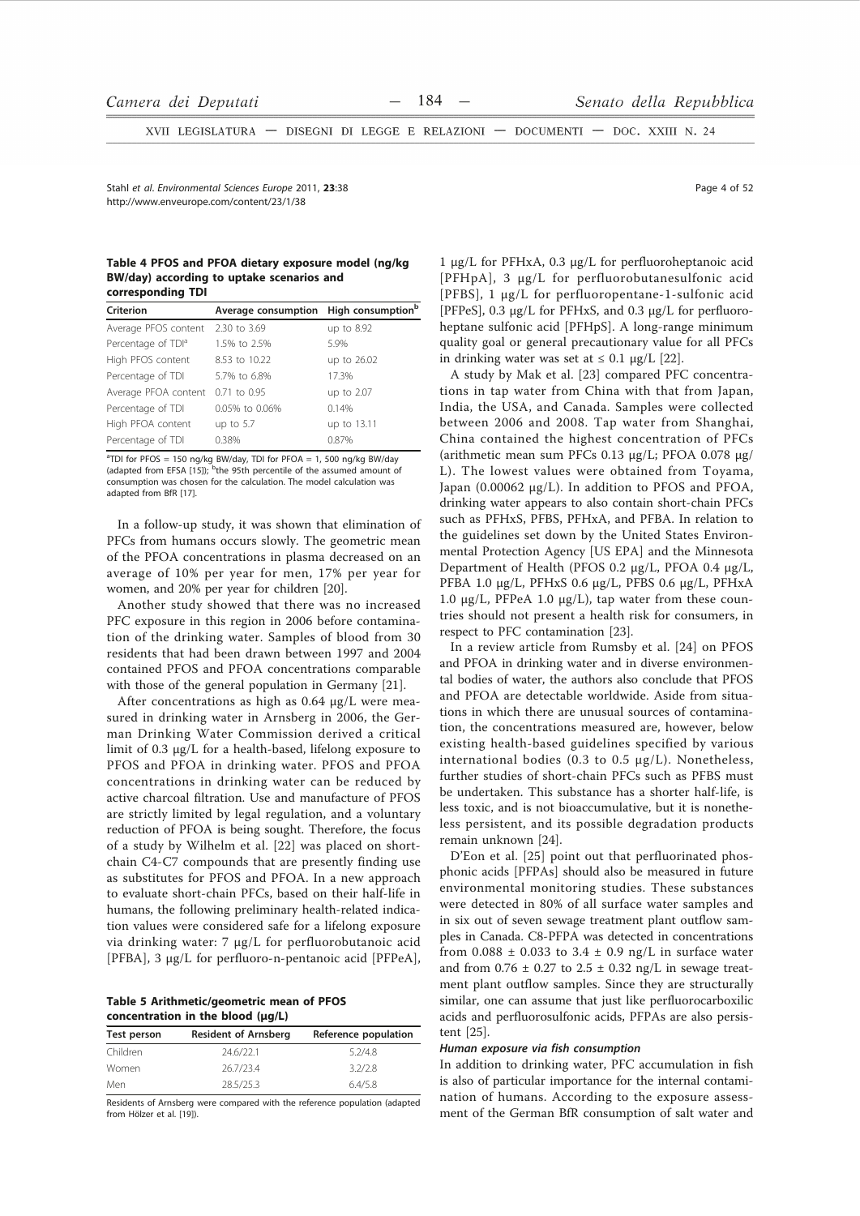XVII LEGISLATURA - DISEGNI DI LEGGE E RELAZIONI - DOCUMENTI - DOC. XXIII N. 24

Stahl et al Environmental Sciences Eurone 2011 23:38 http://www.enveurope.com/content/23/1/38

#### Table 4 PFOS and PFOA dietary exposure model (ng/kg) BW/day) according to uptake scenarios and corresponding TDI

| Criterion                         | Average consumption High consumption <sup>b</sup> |             |
|-----------------------------------|---------------------------------------------------|-------------|
| Average PFOS content 2.30 to 3.69 |                                                   | up to 8.92  |
| Percentage of TDI <sup>a</sup>    | 1.5% to 2.5%                                      | 5.9%        |
| High PFOS content                 | 8.53 to 10.22                                     | up to 26.02 |
| Percentage of TDI                 | 5.7% to 6.8%                                      | 17.3%       |
| Average PFOA content 0.71 to 0.95 |                                                   | up to 2.07  |
| Percentage of TDI                 | 0.05% to 0.06%                                    | 0.14%       |
| High PFOA content                 | up to $5.7$                                       | up to 13.11 |
| Percentage of TDI                 | 0.38%                                             | 0.87%       |
|                                   |                                                   |             |

 $^{\text{a}}$ TDI for PFOS = 150 ng/kg BW/day, TDI for PFOA = 1, 500 ng/kg BW/day (adapted from EFSA [15]); <sup>b</sup>the 95th percentile of the assumed amount of consumption was chosen for the calculation. The model calculation was adapted from BfR [17].

In a follow-up study, it was shown that elimination of PFCs from humans occurs slowly. The geometric mean of the PFOA concentrations in plasma decreased on an average of 10% per year for men, 17% per year for women, and 20% per year for children [20].

Another study showed that there was no increased PFC exposure in this region in 2006 before contamination of the drinking water. Samples of blood from 30 residents that had been drawn between 1997 and 2004 contained PFOS and PFOA concentrations comparable with those of the general population in Germany [21].

After concentrations as high as 0.64 µg/L were measured in drinking water in Arnsberg in 2006, the German Drinking Water Commission derived a critical limit of 0.3 µg/L for a health-based, lifelong exposure to PFOS and PFOA in drinking water. PFOS and PFOA concentrations in drinking water can be reduced by active charcoal filtration. Use and manufacture of PFOS are strictly limited by legal regulation, and a voluntary reduction of PFOA is being sought. Therefore, the focus of a study by Wilhelm et al. [22] was placed on shortchain C4-C7 compounds that are presently finding use as substitutes for PFOS and PFOA. In a new approach to evaluate short-chain PFCs, based on their half-life in humans, the following preliminary health-related indication values were considered safe for a lifelong exposure via drinking water: 7 μg/L for perfluorobutanoic acid [PFBA], 3 µg/L for perfluoro-n-pentanoic acid [PFPeA],

Table 5 Arithmetic/geometric mean of PFOS concentration in the blood (µg/L)

| Test person | <b>Resident of Arnsberg</b> | Reference population |
|-------------|-----------------------------|----------------------|
| Children    | 24.6/22.1                   | 5.2/4.8              |
| Women       | 26.7/23.4                   | 3.2/2.8              |
| Men         | 28.5/25.3                   | 6.4/5.8              |

Residents of Arnsberg were compared with the reference population (adapted from Hölzer et al. [19])

Page 4 of 52

 $1 \mu g/L$  for PFHxA, 0.3  $\mu g/L$  for perfluoroheptanoic acid [PFHpA], 3 µg/L for perfluorobutanesulfonic acid [PFBS], 1 µg/L for perfluoropentane-1-sulfonic acid [PFPeS], 0.3 µg/L for PFHxS, and 0.3 µg/L for perfluoroheptane sulfonic acid [PFHpS]. A long-range minimum quality goal or general precautionary value for all PFCs in drinking water was set at  $\leq 0.1$  µg/L [22].

A study by Mak et al. [23] compared PFC concentrations in tap water from China with that from Japan, India, the USA, and Canada. Samples were collected between 2006 and 2008. Tap water from Shanghai, China contained the highest concentration of PFCs (arithmetic mean sum PFCs 0.13 μg/L; PFOA 0.078 μg/ L). The lowest values were obtained from Toyama, Japan (0.00062 µg/L). In addition to PFOS and PFOA, drinking water appears to also contain short-chain PFCs such as PFHxS, PFBS, PFHxA, and PFBA. In relation to the guidelines set down by the United States Environmental Protection Agency [US EPA] and the Minnesota Department of Health (PFOS 0.2 µg/L, PFOA 0.4 µg/L, PFBA 1.0 μg/L, PFHxS 0.6 μg/L, PFBS 0.6 μg/L, PFHxA 1.0  $\mu$ g/L, PFPeA 1.0  $\mu$ g/L), tap water from these countries should not present a health risk for consumers, in respect to PFC contamination [23].

In a review article from Rumsby et al. [24] on PFOS and PFOA in drinking water and in diverse environmental bodies of water, the authors also conclude that PFOS and PFOA are detectable worldwide. Aside from situations in which there are unusual sources of contamination, the concentrations measured are, however, below existing health-based guidelines specified by various international bodies (0.3 to 0.5  $\mu$ g/L). Nonetheless, further studies of short-chain PFCs such as PFBS must be undertaken. This substance has a shorter half-life, is less toxic, and is not bioaccumulative, but it is nonetheless persistent, and its possible degradation products remain unknown [24].

D'Eon et al. [25] point out that perfluorinated phosphonic acids [PFPAs] should also be measured in future environmental monitoring studies. These substances were detected in 80% of all surface water samples and in six out of seven sewage treatment plant outflow samples in Canada. C8-PFPA was detected in concentrations from 0.088  $\pm$  0.033 to 3.4  $\pm$  0.9 ng/L in surface water and from  $0.76 \pm 0.27$  to  $2.5 \pm 0.32$  ng/L in sewage treatment plant outflow samples. Since they are structurally similar, one can assume that just like perfluorocarboxilic acids and perfluorosulfonic acids, PFPAs are also persistent  $[25]$ .

#### Human exposure via fish consumption

In addition to drinking water, PFC accumulation in fish is also of particular importance for the internal contamination of humans. According to the exposure assessment of the German BfR consumption of salt water and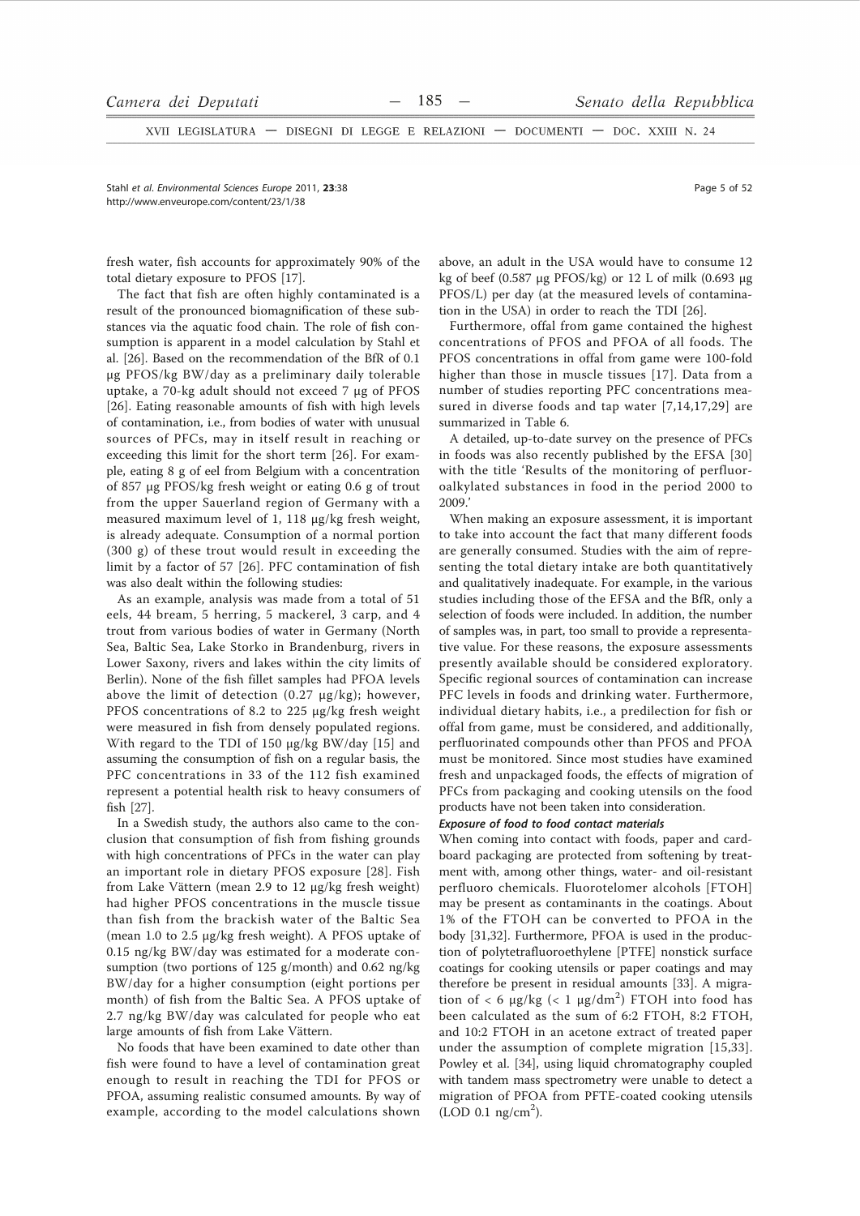XVII LEGISLATURA - DISEGNI DI LEGGE E RELAZIONI - DOCUMENTI - DOC. XXIII N. 24

Stahl et al. Environmental Sciences Europe 2011, 23:38 http://www.enveurope.com/content/23/1/38

fresh water, fish accounts for approximately 90% of the total dietary exposure to PFOS [17].

The fact that fish are often highly contaminated is a result of the pronounced biomagnification of these substances via the aquatic food chain. The role of fish consumption is apparent in a model calculation by Stahl et al. [26]. Based on the recommendation of the BfR of 0.1 µg PFOS/kg BW/day as a preliminary daily tolerable uptake, a 70-kg adult should not exceed 7 µg of PFOS [26]. Eating reasonable amounts of fish with high levels of contamination, i.e., from bodies of water with unusual sources of PFCs, may in itself result in reaching or exceeding this limit for the short term [26]. For example, eating 8 g of eel from Belgium with a concentration of 857 µg PFOS/kg fresh weight or eating 0.6 g of trout from the upper Sauerland region of Germany with a measured maximum level of 1, 118 µg/kg fresh weight, is already adequate. Consumption of a normal portion  $(300 g)$  of these trout would result in exceeding the limit by a factor of 57 [26]. PFC contamination of fish was also dealt within the following studies:

As an example, analysis was made from a total of 51 eels, 44 bream, 5 herring, 5 mackerel, 3 carp, and 4 trout from various bodies of water in Germany (North Sea, Baltic Sea, Lake Storko in Brandenburg, rivers in Lower Saxony, rivers and lakes within the city limits of Berlin). None of the fish fillet samples had PFOA levels above the limit of detection  $(0.27 \text{ µg/kg})$ ; however, PFOS concentrations of 8.2 to 225 µg/kg fresh weight were measured in fish from densely populated regions. With regard to the TDI of 150 µg/kg BW/day [15] and assuming the consumption of fish on a regular basis, the PFC concentrations in 33 of the 112 fish examined represent a potential health risk to heavy consumers of fish [27].

In a Swedish study, the authors also came to the conclusion that consumption of fish from fishing grounds with high concentrations of PFCs in the water can play an important role in dietary PFOS exposure [28]. Fish from Lake Vättern (mean 2.9 to 12 µg/kg fresh weight) had higher PFOS concentrations in the muscle tissue than fish from the brackish water of the Baltic Sea (mean 1.0 to 2.5 µg/kg fresh weight). A PFOS uptake of 0.15 ng/kg BW/day was estimated for a moderate consumption (two portions of 125 g/month) and 0.62 ng/kg BW/day for a higher consumption (eight portions per month) of fish from the Baltic Sea. A PFOS uptake of 2.7 ng/kg BW/day was calculated for people who eat large amounts of fish from Lake Vättern.

No foods that have been examined to date other than fish were found to have a level of contamination great enough to result in reaching the TDI for PFOS or PFOA, assuming realistic consumed amounts. By way of example, according to the model calculations shown above, an adult in the USA would have to consume 12 kg of beef (0.587 µg PFOS/kg) or 12 L of milk (0.693 µg PFOS/L) per day (at the measured levels of contamination in the USA) in order to reach the TDI [26].

Furthermore, offal from game contained the highest concentrations of PFOS and PFOA of all foods. The PFOS concentrations in offal from game were 100-fold higher than those in muscle tissues [17]. Data from a number of studies reporting PFC concentrations measured in diverse foods and tap water [7,14,17,29] are summarized in Table 6.

A detailed, up-to-date survey on the presence of PFCs in foods was also recently published by the EFSA [30] with the title 'Results of the monitoring of perfluoroalkylated substances in food in the period 2000 to  $2009'$ 

When making an exposure assessment, it is important to take into account the fact that many different foods are generally consumed. Studies with the aim of representing the total dietary intake are both quantitatively and qualitatively inadequate. For example, in the various studies including those of the EFSA and the BfR, only a selection of foods were included. In addition, the number of samples was, in part, too small to provide a representative value. For these reasons, the exposure assessments presently available should be considered exploratory. Specific regional sources of contamination can increase PFC levels in foods and drinking water. Furthermore, individual dietary habits, i.e., a predilection for fish or offal from game, must be considered, and additionally, perfluorinated compounds other than PFOS and PFOA must be monitored. Since most studies have examined fresh and unpackaged foods, the effects of migration of PFCs from packaging and cooking utensils on the food products have not been taken into consideration.

#### Exposure of food to food contact materials

When coming into contact with foods, paper and cardboard packaging are protected from softening by treatment with, among other things, water- and oil-resistant perfluoro chemicals. Fluorotelomer alcohols [FTOH] may be present as contaminants in the coatings. About 1% of the FTOH can be converted to PFOA in the body [31,32]. Furthermore, PFOA is used in the production of polytetrafluoroethylene [PTFE] nonstick surface coatings for cooking utensils or paper coatings and may therefore be present in residual amounts [33]. A migration of < 6  $\mu$ g/kg (< 1  $\mu$ g/dm<sup>2</sup>) FTOH into food has been calculated as the sum of 6:2 FTOH, 8:2 FTOH, and 10:2 FTOH in an acetone extract of treated paper under the assumption of complete migration [15,33]. Powley et al. [34], using liquid chromatography coupled with tandem mass spectrometry were unable to detect a migration of PFOA from PFTE-coated cooking utensils  $(LOD 0.1 mg/cm<sup>2</sup>)$ .

Page 5 of 52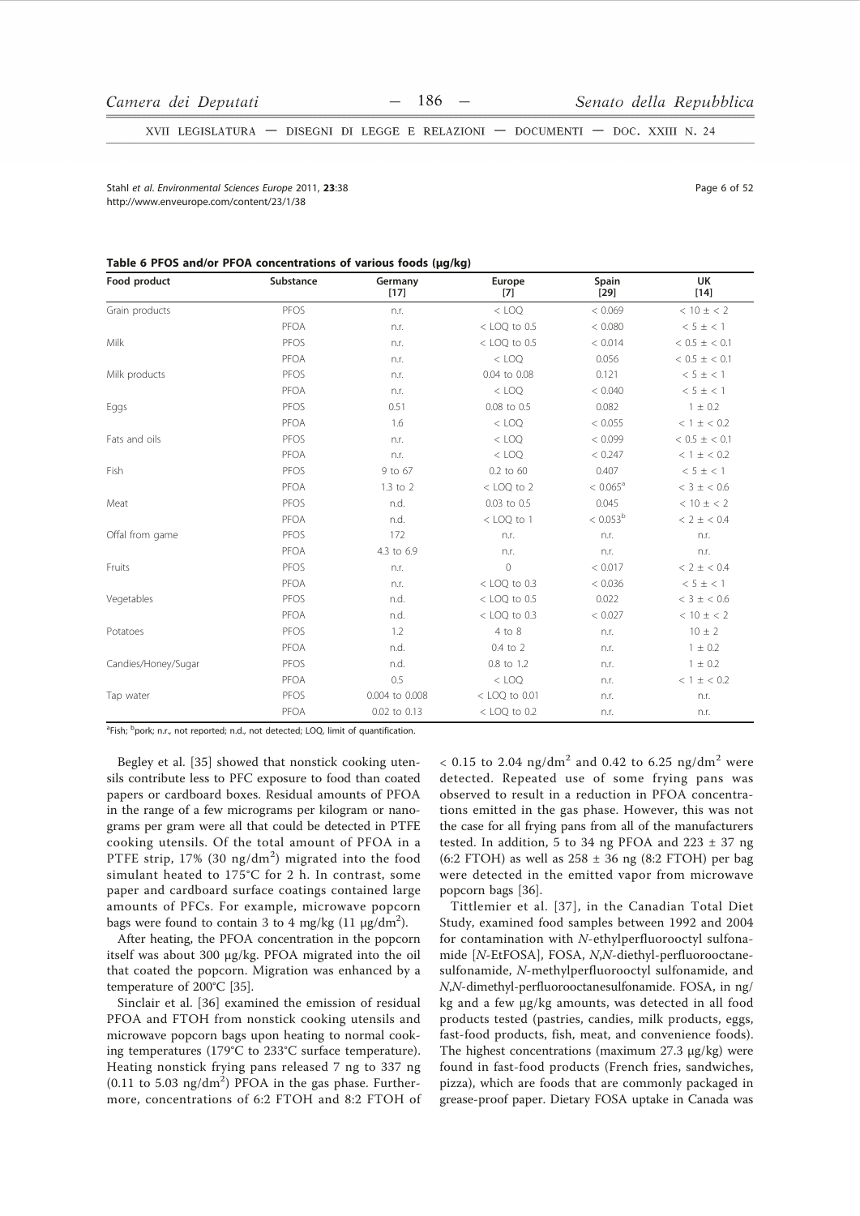XVII LEGISLATURA - DISEGNI DI LEGGE E RELAZIONI - DOCUMENTI - DOC. XXIII N. 24

Stabl et al Environmental Sciences Eurone 2011 23:38 http://www.enveurope.com/content/23/1/38

Page 6 of 52

#### Table 6 PFOS and/or PFOA concentrations of various foods (ug/kg)

| Food product        | Substance | Germany<br>$[17]$ | Europe<br>$[7]$ | Spain<br>$[29]$   | <b>UK</b><br>$[14]$ |
|---------------------|-----------|-------------------|-----------------|-------------------|---------------------|
| Grain products      | PFOS      | n.r.              | $<$ LOO         | < 0.069           | $< 10 \pm < 2$      |
|                     | PFOA      | n.r.              | $<$ LOQ to 0.5  | < 0.080           | < 5 ± < 1           |
| Milk                | PFOS      | n.r.              | $<$ LOQ to 0.5  | < 0.014           | $< 0.5 \pm < 0.1$   |
|                     | PFOA      | n.r.              | $<$ LOQ         | 0.056             | $< 0.5 \pm < 0.1$   |
| Milk products       | PFOS      | n.r.              | 0.04 to 0.08    | 0.121             | < 5 ± < 1           |
|                     | PFOA      | n.r.              | $<$ LOQ         | < 0.040           | $< 5 \pm < 1$       |
| Eggs                | PFOS      | 0.51              | 0.08 to 0.5     | 0.082             | $1 \pm 0.2$         |
|                     | PFOA      | 1.6               | $<$ LOQ         | < 0.055           | < 1 ± < 0.2         |
| Fats and oils       | PFOS      | n.r.              | $<$ LOQ         | < 0.099           | $< 0.5 \pm < 0.1$   |
|                     | PFOA      | n.r.              | $<$ LOQ         | < 0.247           | < 1 ± < 0.2         |
| Fish                | PFOS      | 9 to 67           | 0.2 to 60       | 0.407             | $< 5 \pm < 1$       |
|                     | PFOA      | 1.3 to 2          | $<$ LOQ to 2    | $< 0.065^{\circ}$ | $< 3 \pm < 0.6$     |
| Meat                | PFOS      | n.d.              | 0.03 to 0.5     | 0.045             | $< 10 \pm < 2$      |
|                     | PFOA      | n.d.              | < LOQ to 1      | $< 0.053^{\rm b}$ | < 2 ± < 0.4         |
| Offal from game     | PFOS      | 172               | n.r.            | n.r.              | n.r.                |
|                     | PFOA      | 4.3 to 6.9        | n.r.            | n.r.              | n.r.                |
| Fruits              | PFOS      | n.r.              | $\mathbb O$     | < 0.017           | < 2 ± < 0.4         |
|                     | PFOA      | n.r.              | $<$ LOQ to 0.3  | < 0.036           | $< 5 \pm < 1$       |
| Vegetables          | PFOS      | n.d.              | $<$ LOQ to 0.5  | 0.022             | $< 3 \pm < 0.6$     |
|                     | PFOA      | n.d.              | $<$ LOQ to 0.3  | < 0.027           | $< 10 \pm < 2$      |
| Potatoes            | PFOS      | 1.2               | 4 to 8          | n.r.              | $10 \pm 2$          |
|                     | PFOA      | n.d.              | 0.4 to 2        | n.r.              | $1 \pm 0.2$         |
| Candies/Honey/Sugar | PFOS      | n.d.              | 0.8 to 1.2      | n.r.              | $1 \pm 0.2$         |
|                     | PFOA      | 0.5               | $<$ LOQ         | n.r.              | < 1 ± < 0.2         |
| Tap water           | PFOS      | 0.004 to 0.008    | < LOQ to 0.01   | n.r.              | n.r.                |
|                     | PFOA      | 0.02 to 0.13      | $<$ LOQ to 0.2  | n.r.              | n.r.                |

<sup>a</sup>Fish; <sup>b</sup>pork; n.r., not reported; n.d., not detected; LOQ, limit of quantification.

Begley et al. [35] showed that nonstick cooking utensils contribute less to PFC exposure to food than coated papers or cardboard boxes. Residual amounts of PFOA in the range of a few micrograms per kilogram or nanograms per gram were all that could be detected in PTFE cooking utensils. Of the total amount of PFOA in a PTFE strip,  $17\%$  (30 ng/dm<sup>2</sup>) migrated into the food simulant heated to 175°C for 2 h. In contrast, some paper and cardboard surface coatings contained large amounts of PFCs. For example, microwave popcorn bags were found to contain 3 to 4 mg/kg  $(11 \mu g/dm^2)$ .

After heating, the PFOA concentration in the popcorn itself was about 300 µg/kg. PFOA migrated into the oil that coated the popcorn. Migration was enhanced by a temperature of 200°C [35].

Sinclair et al. [36] examined the emission of residual PFOA and FTOH from nonstick cooking utensils and microwave popcorn bags upon heating to normal cooking temperatures (179°C to 233°C surface temperature). Heating nonstick frying pans released 7 ng to 337 ng  $(0.11 \text{ to } 5.03 \text{ ng/dm}^2)$  PFOA in the gas phase. Furthermore, concentrations of 6:2 FTOH and 8:2 FTOH of < 0.15 to 2.04 ng/dm<sup>2</sup> and 0.42 to 6.25 ng/dm<sup>2</sup> were detected. Repeated use of some frying pans was observed to result in a reduction in PFOA concentrations emitted in the gas phase. However, this was not the case for all frying pans from all of the manufacturers tested. In addition, 5 to 34 ng PFOA and  $223 \pm 37$  ng (6:2 FTOH) as well as  $258 \pm 36$  ng (8:2 FTOH) per bag were detected in the emitted vapor from microwave popcorn bags [36].

Tittlemier et al. [37], in the Canadian Total Diet Study, examined food samples between 1992 and 2004 for contamination with N-ethylperfluorooctyl sulfonamide [N-EtFOSA], FOSA, N,N-diethyl-perfluorooctanesulfonamide, N-methylperfluorooctyl sulfonamide, and N,N-dimethyl-perfluorooctanesulfonamide. FOSA, in ng/ kg and a few µg/kg amounts, was detected in all food products tested (pastries, candies, milk products, eggs, fast-food products, fish, meat, and convenience foods). The highest concentrations (maximum 27.3 µg/kg) were found in fast-food products (French fries, sandwiches, pizza), which are foods that are commonly packaged in grease-proof paper. Dietary FOSA uptake in Canada was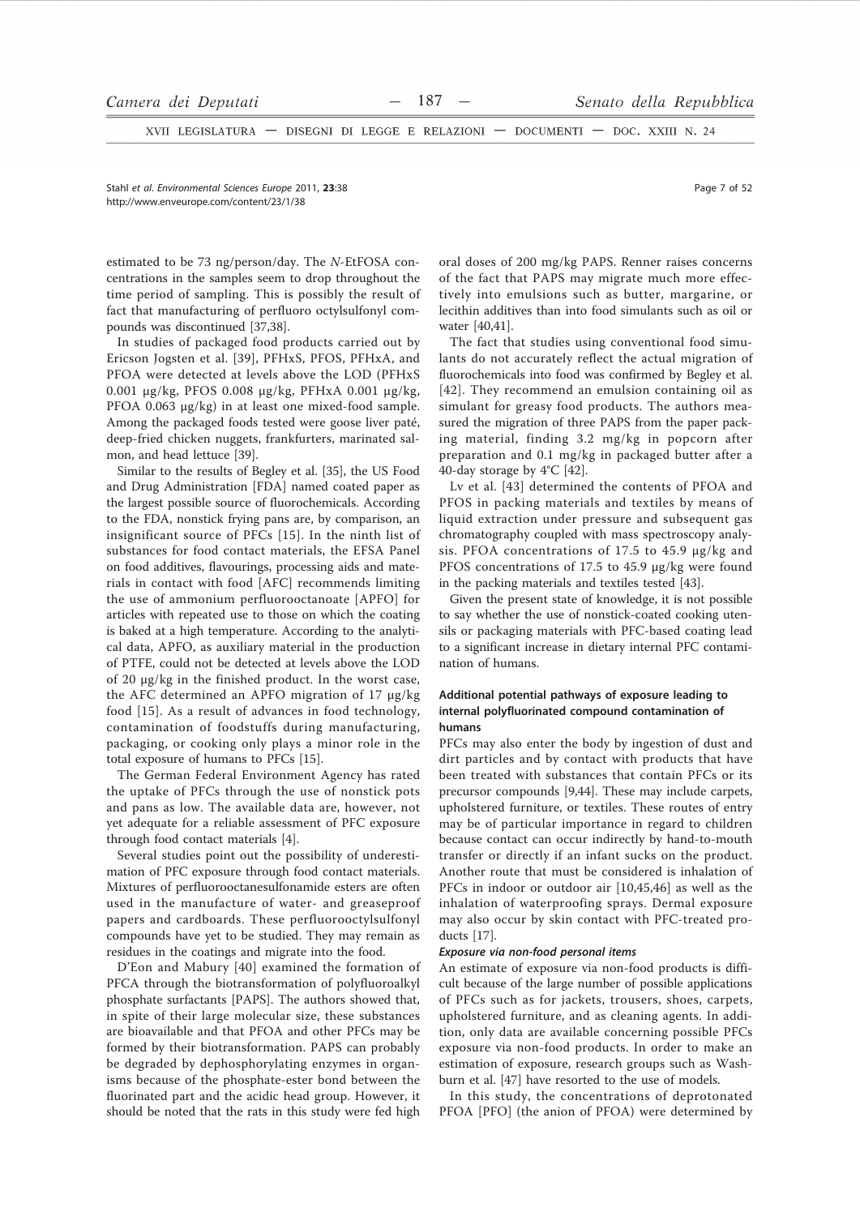XVII LEGISLATURA - DISEGNI DI LEGGE E RELAZIONI - DOCUMENTI - DOC. XXIII N. 24

Stahl et al. Environmental Sciences Europe 2011. 23:38 http://www.enveurope.com/content/23/1/38

estimated to be 73 ng/person/day. The N-EtFOSA concentrations in the samples seem to drop throughout the time period of sampling. This is possibly the result of fact that manufacturing of perfluoro octylsulfonyl compounds was discontinued [37,38].

In studies of packaged food products carried out by Ericson Jogsten et al. [39], PFHxS, PFOS, PFHxA, and PFOA were detected at levels above the LOD (PFHxS 0.001 μg/kg, PFOS 0.008 μg/kg, PFHxA 0.001 μg/kg, PFOA 0.063 µg/kg) in at least one mixed-food sample. Among the packaged foods tested were goose liver paté, deep-fried chicken nuggets, frankfurters, marinated salmon, and head lettuce [39].

Similar to the results of Begley et al. [35], the US Food and Drug Administration [FDA] named coated paper as the largest possible source of fluorochemicals. According to the FDA, nonstick frying pans are, by comparison, an insignificant source of PFCs [15]. In the ninth list of substances for food contact materials, the EFSA Panel on food additives, flavourings, processing aids and materials in contact with food [AFC] recommends limiting the use of ammonium perfluorooctanoate [APFO] for articles with repeated use to those on which the coating is baked at a high temperature. According to the analytical data, APFO, as auxiliary material in the production of PTFE, could not be detected at levels above the LOD of 20 μg/kg in the finished product. In the worst case, the AFC determined an APFO migration of 17 µg/kg food [15]. As a result of advances in food technology, contamination of foodstuffs during manufacturing, packaging, or cooking only plays a minor role in the total exposure of humans to PFCs [15].

The German Federal Environment Agency has rated the uptake of PFCs through the use of nonstick pots and pans as low. The available data are, however, not yet adequate for a reliable assessment of PFC exposure through food contact materials [4].

Several studies point out the possibility of underestimation of PFC exposure through food contact materials. Mixtures of perfluorooctanesulfonamide esters are often used in the manufacture of water- and greaseproof papers and cardboards. These perfluorooctylsulfonyl compounds have yet to be studied. They may remain as residues in the coatings and migrate into the food.

D'Eon and Mabury [40] examined the formation of PFCA through the biotransformation of polyfluoroalkyl phosphate surfactants [PAPS]. The authors showed that, in spite of their large molecular size, these substances are bioavailable and that PFOA and other PFCs may be formed by their biotransformation. PAPS can probably be degraded by dephosphorylating enzymes in organisms because of the phosphate-ester bond between the fluorinated part and the acidic head group. However, it should be noted that the rats in this study were fed high

oral doses of 200 mg/kg PAPS. Renner raises concerns of the fact that PAPS may migrate much more effectively into emulsions such as butter, margarine, or lecithin additives than into food simulants such as oil or water [40,41].

The fact that studies using conventional food simulants do not accurately reflect the actual migration of fluorochemicals into food was confirmed by Begley et al. [42]. They recommend an emulsion containing oil as simulant for greasy food products. The authors measured the migration of three PAPS from the paper packing material, finding 3.2 mg/kg in popcorn after preparation and 0.1 mg/kg in packaged butter after a 40-day storage by 4°C [42].

Ly et al. [43] determined the contents of PFOA and PFOS in packing materials and textiles by means of liquid extraction under pressure and subsequent gas chromatography coupled with mass spectroscopy analysis. PFOA concentrations of 17.5 to 45.9  $\mu$ g/kg and PFOS concentrations of 17.5 to 45.9 µg/kg were found in the packing materials and textiles tested [43].

Given the present state of knowledge, it is not possible to say whether the use of nonstick-coated cooking utensils or packaging materials with PFC-based coating lead to a significant increase in dietary internal PFC contamination of humans.

# Additional potential pathways of exposure leading to internal polyfluorinated compound contamination of humans

PFCs may also enter the body by ingestion of dust and dirt particles and by contact with products that have been treated with substances that contain PFCs or its precursor compounds [9,44]. These may include carpets, upholstered furniture, or textiles. These routes of entry may be of particular importance in regard to children because contact can occur indirectly by hand-to-mouth transfer or directly if an infant sucks on the product. Another route that must be considered is inhalation of PFCs in indoor or outdoor air [10,45,46] as well as the inhalation of waterproofing sprays. Dermal exposure may also occur by skin contact with PFC-treated products  $[17]$ .

#### Exposure via non-food personal items

An estimate of exposure via non-food products is difficult because of the large number of possible applications of PFCs such as for jackets, trousers, shoes, carpets, upholstered furniture, and as cleaning agents. In addition, only data are available concerning possible PFCs exposure via non-food products. In order to make an estimation of exposure, research groups such as Washburn et al. [47] have resorted to the use of models.

In this study, the concentrations of deprotonated PFOA [PFO] (the anion of PFOA) were determined by

Page 7 of 52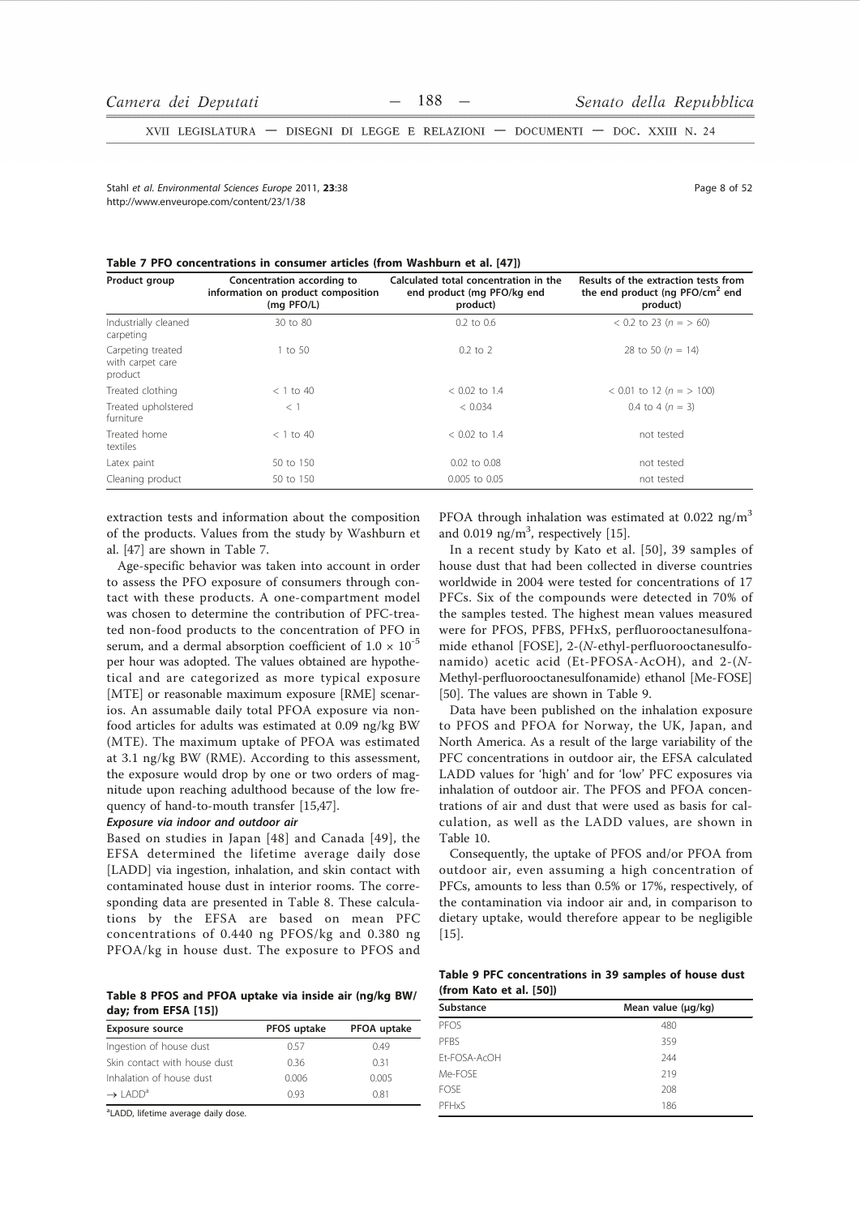XVII LEGISLATURA - DISEGNI DI LEGGE E RELAZIONI - DOCUMENTI - DOC. XXIII N. 24

Stabl et al Environmental Sciences Eurone 2011 23:38 http://www.enveurope.com/content/23/1/38

Page 8 of 52

| Product group                                    | Concentration according to<br>information on product composition<br>(mg PFO/L) | Calculated total concentration in the<br>end product (mg PFO/kg end<br>product) | Results of the extraction tests from<br>the end product (ng $PFO/cm2$ end<br>product) |
|--------------------------------------------------|--------------------------------------------------------------------------------|---------------------------------------------------------------------------------|---------------------------------------------------------------------------------------|
| Industrially cleaned<br>carpeting                | 30 to 80                                                                       | $0.2$ to $0.6$                                                                  | $0.2$ to 23 (n = > 60)                                                                |
| Carpeting treated<br>with carpet care<br>product | 1 to 50                                                                        | $0.2$ to $2$                                                                    | 28 to 50 $(n = 14)$                                                                   |
| Treated clothing                                 | $<$ 1 to 40                                                                    | $< 0.02$ to 1.4                                                                 | $< 0.01$ to 12 (n = > 100)                                                            |
| Treated upholstered<br>furniture                 | $<$ 1                                                                          | < 0.034                                                                         | 0.4 to 4 $(n = 3)$                                                                    |
| Treated home<br>textiles                         | $<$ 1 to 40                                                                    | $< 0.02$ to 1.4                                                                 | not tested                                                                            |
| Latex paint                                      | 50 to 150                                                                      | $0.02$ to $0.08$                                                                | not tested                                                                            |
| Cleaning product                                 | 50 to 150                                                                      | 0.005 to 0.05                                                                   | not tested                                                                            |

extraction tests and information about the composition of the products. Values from the study by Washburn et al. [47] are shown in Table 7.

Age-specific behavior was taken into account in order to assess the PFO exposure of consumers through contact with these products. A one-compartment model was chosen to determine the contribution of PFC-treated non-food products to the concentration of PFO in serum, and a dermal absorption coefficient of  $1.0 \times 10^{-5}$ per hour was adopted. The values obtained are hypothetical and are categorized as more typical exposure [MTE] or reasonable maximum exposure [RME] scenarios. An assumable daily total PFOA exposure via nonfood articles for adults was estimated at 0.09 ng/kg BW (MTE). The maximum uptake of PFOA was estimated at 3.1 ng/kg BW (RME). According to this assessment, the exposure would drop by one or two orders of magnitude upon reaching adulthood because of the low frequency of hand-to-mouth transfer [15,47].

# Exposure via indoor and outdoor air

Based on studies in Japan [48] and Canada [49], the EFSA determined the lifetime average daily dose [LADD] via ingestion, inhalation, and skin contact with contaminated house dust in interior rooms. The corresponding data are presented in Table 8. These calculations by the EFSA are based on mean PFC concentrations of 0.440 ng PFOS/kg and 0.380 ng PFOA/kg in house dust. The exposure to PFOS and

Table 8 PFOS and PFOA uptake via inside air (ng/kg BW/ day; from EFSA [15])

| <b>Exposure source</b>          | PFOS uptake | PFOA uptake |
|---------------------------------|-------------|-------------|
| Ingestion of house dust         | 0.57        | 0.49        |
| Skin contact with house dust    | 0.36        | 0.31        |
| Inhalation of house dust        | 0.006       | 0.005       |
| $\rightarrow$ LADD <sup>a</sup> | 0.93        | 0.81        |

<sup>a</sup>LADD, lifetime average daily dose.

PFOA through inhalation was estimated at 0.022 ng/m<sup>3</sup> and 0.019  $ng/m<sup>3</sup>$ , respectively [15].

In a recent study by Kato et al. [50], 39 samples of house dust that had been collected in diverse countries worldwide in 2004 were tested for concentrations of 17 PFCs. Six of the compounds were detected in 70% of the samples tested. The highest mean values measured were for PFOS, PFBS, PFHxS, perfluorooctanesulfonamide ethanol [FOSE], 2-(N-ethyl-perfluorooctanesulfonamido) acetic acid (Et-PFOSA-AcOH), and 2-(N-Methyl-perfluorooctanesulfonamide) ethanol [Me-FOSE] [50]. The values are shown in Table 9.

Data have been published on the inhalation exposure to PFOS and PFOA for Norway, the UK, Japan, and North America. As a result of the large variability of the PFC concentrations in outdoor air, the EFSA calculated LADD values for 'high' and for 'low' PFC exposures via inhalation of outdoor air. The PFOS and PFOA concentrations of air and dust that were used as basis for calculation, as well as the LADD values, are shown in Table 10.

Consequently, the uptake of PFOS and/or PFOA from outdoor air, even assuming a high concentration of PFCs, amounts to less than 0.5% or 17%, respectively, of the contamination via indoor air and, in comparison to dietary uptake, would therefore appear to be negligible  $[15]$ .

Table 9 PFC concentrations in 39 samples of house dust (from Kato et al. [50])

| Mean value (µg/kg) |
|--------------------|
| 480                |
| 359                |
| 244                |
| 219                |
| 208                |
| 186                |
|                    |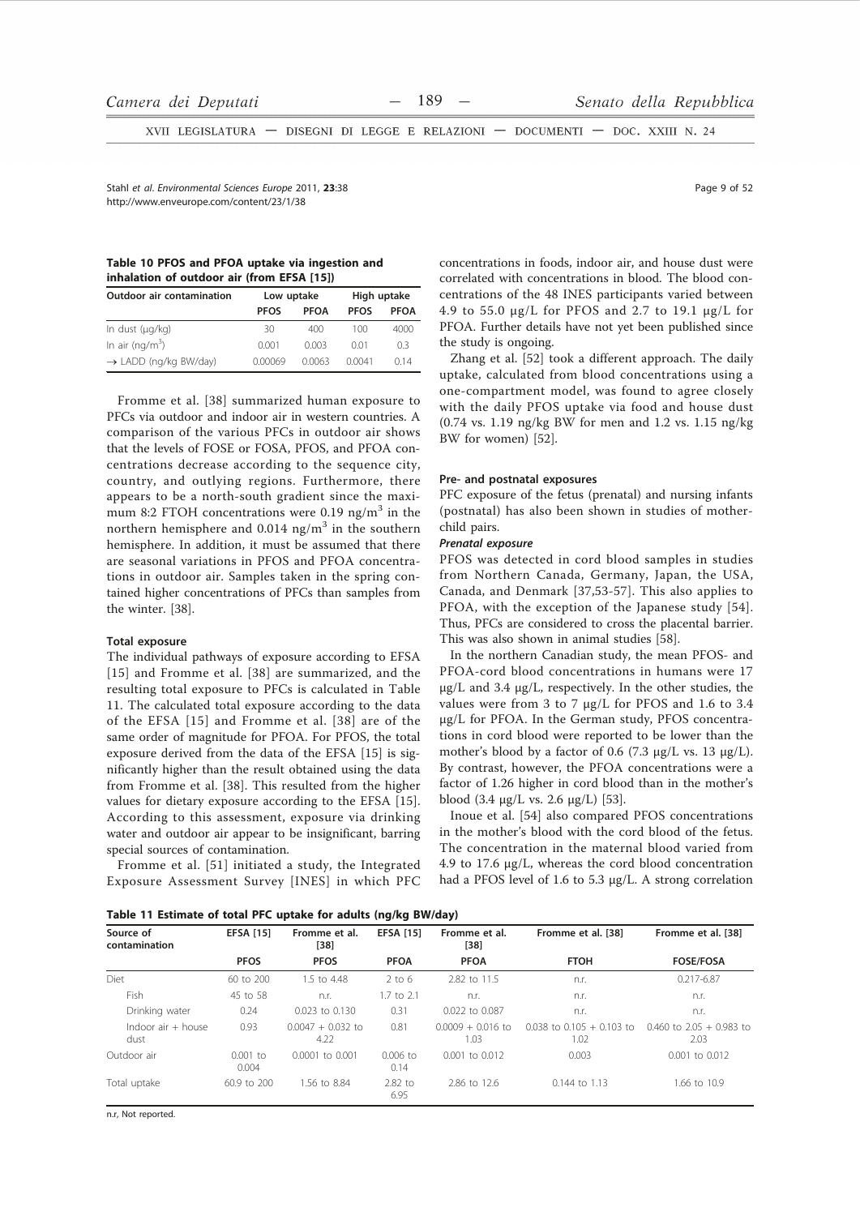XVII LEGISLATURA - DISEGNI DI LEGGE E RELAZIONI - DOCUMENTI - DOC. XXIII N. 24

Stabl et al Environmental Sciences Eurone 2011 23:38 http://www.enveurope.com/content/23/1/38

|  |  |                                            | Table 10 PFOS and PFOA uptake via ingestion and |  |
|--|--|--------------------------------------------|-------------------------------------------------|--|
|  |  | inhalation of outdoor air (from EFSA [15]) |                                                 |  |

| <b>Outdoor air contamination</b>  | Low uptake  |             | High uptake     |      |  |  |  |  |  |
|-----------------------------------|-------------|-------------|-----------------|------|--|--|--|--|--|
|                                   | <b>PFOS</b> | <b>PFOA</b> | <b>PFOS</b>     | PFOA |  |  |  |  |  |
| In dust (µg/kg)                   | 30          | 400         | 100             | 4000 |  |  |  |  |  |
| In air (ng/m <sup>3</sup> )       | 0.001       | 0.003       | 0 <sub>01</sub> | 0.3  |  |  |  |  |  |
| $\rightarrow$ LADD (ng/kg BW/day) | 0.00069     | 0.0063      | 0.0041          | 014  |  |  |  |  |  |

Fromme et al. [38] summarized human exposure to PFCs via outdoor and indoor air in western countries. A comparison of the various PFCs in outdoor air shows that the levels of FOSE or FOSA, PFOS, and PFOA concentrations decrease according to the sequence city, country, and outlying regions. Furthermore, there appears to be a north-south gradient since the maximum 8:2 FTOH concentrations were 0.19 ng/m<sup>3</sup> in the northern hemisphere and  $0.014$  ng/m<sup>3</sup> in the southern hemisphere. In addition, it must be assumed that there are seasonal variations in PFOS and PFOA concentrations in outdoor air. Samples taken in the spring contained higher concentrations of PFCs than samples from the winter. [38].

## **Total exposure**

The individual pathways of exposure according to EFSA [15] and Fromme et al. [38] are summarized, and the resulting total exposure to PFCs is calculated in Table 11. The calculated total exposure according to the data of the EFSA [15] and Fromme et al. [38] are of the same order of magnitude for PFOA. For PFOS, the total exposure derived from the data of the EFSA [15] is significantly higher than the result obtained using the data from Fromme et al. [38]. This resulted from the higher values for dietary exposure according to the EFSA [15]. According to this assessment, exposure via drinking water and outdoor air appear to be insignificant, barring special sources of contamination.

Fromme et al. [51] initiated a study, the Integrated Exposure Assessment Survey [INES] in which PFC concentrations in foods, indoor air, and house dust were correlated with concentrations in blood. The blood concentrations of the 48 INES participants varied between 4.9 to 55.0  $\mu$ g/L for PFOS and 2.7 to 19.1  $\mu$ g/L for PFOA. Further details have not yet been published since the study is ongoing.

Zhang et al. [52] took a different approach. The daily uptake, calculated from blood concentrations using a one-compartment model, was found to agree closely with the daily PFOS uptake via food and house dust  $(0.74 \text{ vs. } 1.19 \text{ ng/kg BW}$  for men and 1.2 vs. 1.15 ng/kg BW for women) [52].

#### Pre- and postnatal exposures

PFC exposure of the fetus (prenatal) and nursing infants (postnatal) has also been shown in studies of motherchild pairs.

### Prenatal exposure

PFOS was detected in cord blood samples in studies from Northern Canada, Germany, Japan, the USA, Canada, and Denmark [37,53-57]. This also applies to PFOA, with the exception of the Japanese study [54]. Thus, PFCs are considered to cross the placental barrier. This was also shown in animal studies [58].

In the northern Canadian study, the mean PFOS- and PFOA-cord blood concentrations in humans were 17  $\mu$ g/L and 3.4  $\mu$ g/L, respectively. In the other studies, the values were from 3 to 7 µg/L for PFOS and 1.6 to 3.4 µg/L for PFOA. In the German study, PFOS concentrations in cord blood were reported to be lower than the mother's blood by a factor of 0.6 (7.3  $\mu$ g/L vs. 13  $\mu$ g/L). By contrast, however, the PFOA concentrations were a factor of 1.26 higher in cord blood than in the mother's blood  $(3.4 \text{ µg/L vs. } 2.6 \text{ µg/L})$  [53].

Inoue et al. [54] also compared PFOS concentrations in the mother's blood with the cord blood of the fetus. The concentration in the maternal blood varied from 4.9 to 17.6 µg/L, whereas the cord blood concentration had a PFOS level of 1.6 to 5.3 µg/L. A strong correlation

Table 11 Estimate of total BEC untake for adults (ng/kg BW/day)

| $i$ abic TT Estimate of total FTC uptake for auurts (hy/ky DW/uay) |                     |                             |                    |                             |                                       |                                    |  |
|--------------------------------------------------------------------|---------------------|-----------------------------|--------------------|-----------------------------|---------------------------------------|------------------------------------|--|
| Source of<br>contamination                                         | <b>EFSA [15]</b>    | Fromme et al.<br>[38]       | <b>EFSA [15]</b>   | Fromme et al.<br>[38]       | Fromme et al. [38]                    | Fromme et al. [38]                 |  |
|                                                                    | <b>PFOS</b>         | <b>PFOS</b>                 | <b>PFOA</b>        | <b>PFOA</b>                 | <b>FTOH</b>                           | <b>FOSE/FOSA</b>                   |  |
| Diet                                                               | 60 to 200           | 1.5 to 4.48                 | $2$ to 6           | 2.82 to 11.5                | n.r.                                  | 0.217-6.87                         |  |
| Fish                                                               | 45 to 58            | n.r.                        | 1.7 to 2.1         | n.r.                        | n.r.                                  | n.r.                               |  |
| Drinking water                                                     | 0.24                | 0.023 to 0.130              | 0.31               | 0.022 to 0.087              | n.r.                                  | n.r.                               |  |
| Indoor $air + house$<br>dust                                       | 0.93                | $0.0047 + 0.032$ to<br>4.22 | 0.81               | $0.0009 + 0.016$ to<br>1.03 | $0.038$ to $0.105 + 0.103$ to<br>1.02 | $0.460$ to 2.05 + 0.983 to<br>2.03 |  |
| Outdoor air                                                        | $0.001$ to<br>0.004 | $0.0001$ to $0.001$         | $0.006$ to<br>0.14 | $0.001$ to $0.012$          | 0.003                                 | 0.001 to 0.012                     |  |
| Total uptake                                                       | 60.9 to 200         | 1.56 to 8.84                | $2.82$ to<br>6.95  | 2.86 to 12.6                | $0.144$ to $1.13$                     | 1.66 to 10.9                       |  |

n.r, Not reported

Page 9 of 52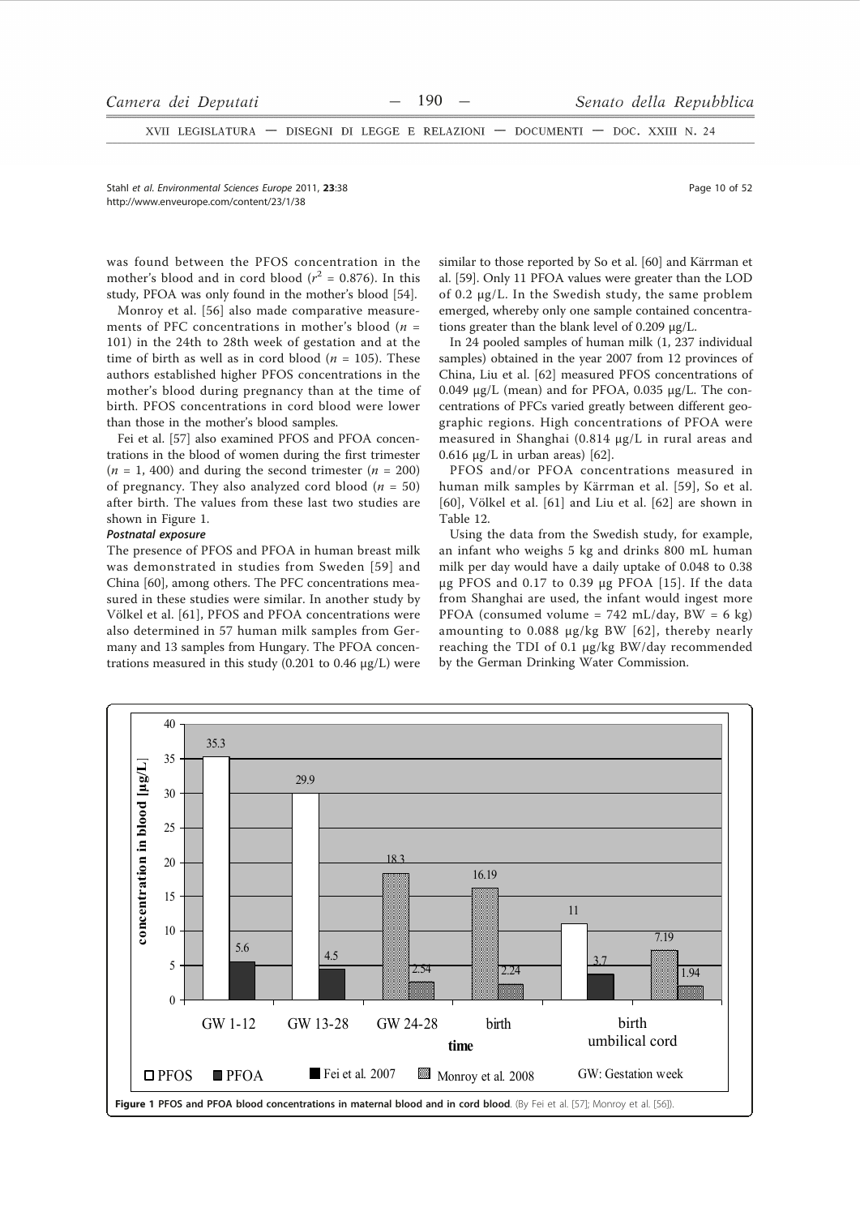$XVII$  LEGISLATURA  $-$ DISEGNI DI LEGGE E RELAZIONI - DOCUMENTI - DOC. XXIII N. 24

Stahl et al Environmental Sciences Eurone 2011 23:38 http://www.enveurope.com/content/23/1/38

Page 10 of 52

was found between the PFOS concentration in the mother's blood and in cord blood ( $r^2 = 0.876$ ). In this study, PFOA was only found in the mother's blood [54].

Monroy et al. [56] also made comparative measurements of PFC concentrations in mother's blood ( $n =$ 101) in the 24th to 28th week of gestation and at the time of birth as well as in cord blood ( $n = 105$ ). These authors established higher PFOS concentrations in the mother's blood during pregnancy than at the time of birth. PFOS concentrations in cord blood were lower than those in the mother's blood samples.

Fei et al. [57] also examined PFOS and PFOA concentrations in the blood of women during the first trimester  $(n = 1, 400)$  and during the second trimester  $(n = 200)$ of pregnancy. They also analyzed cord blood ( $n = 50$ ) after birth. The values from these last two studies are shown in Figure 1.

#### Postnatal exposure

The presence of PFOS and PFOA in human breast milk was demonstrated in studies from Sweden [59] and China [60], among others. The PFC concentrations measured in these studies were similar. In another study by Völkel et al. [61], PFOS and PFOA concentrations were also determined in 57 human milk samples from Germany and 13 samples from Hungary. The PFOA concentrations measured in this study (0.201 to 0.46  $\mu$ g/L) were similar to those reported by So et al. [60] and Kärrman et al. [59]. Only 11 PFOA values were greater than the LOD of 0.2 µg/L. In the Swedish study, the same problem emerged, whereby only one sample contained concentrations greater than the blank level of 0.209  $\mu$ g/L.

In 24 pooled samples of human milk (1, 237 individual samples) obtained in the year 2007 from 12 provinces of China, Liu et al. [62] measured PFOS concentrations of 0.049  $\mu$ g/L (mean) and for PFOA, 0.035  $\mu$ g/L. The concentrations of PFCs varied greatly between different geographic regions. High concentrations of PFOA were measured in Shanghai (0.814 µg/L in rural areas and  $0.616 \mu g/L$  in urban areas) [62].

PFOS and/or PFOA concentrations measured in human milk samples by Kärrman et al. [59], So et al. [60], Völkel et al. [61] and Liu et al. [62] are shown in Table 12

Using the data from the Swedish study, for example, an infant who weighs 5 kg and drinks 800 mL human milk per day would have a daily uptake of 0.048 to 0.38 μg PFOS and 0.17 to 0.39 μg PFOA [15]. If the data from Shanghai are used, the infant would ingest more PFOA (consumed volume = 742 mL/day, BW = 6 kg) amounting to 0.088 µg/kg BW [62], thereby nearly reaching the TDI of 0.1 µg/kg BW/day recommended by the German Drinking Water Commission.

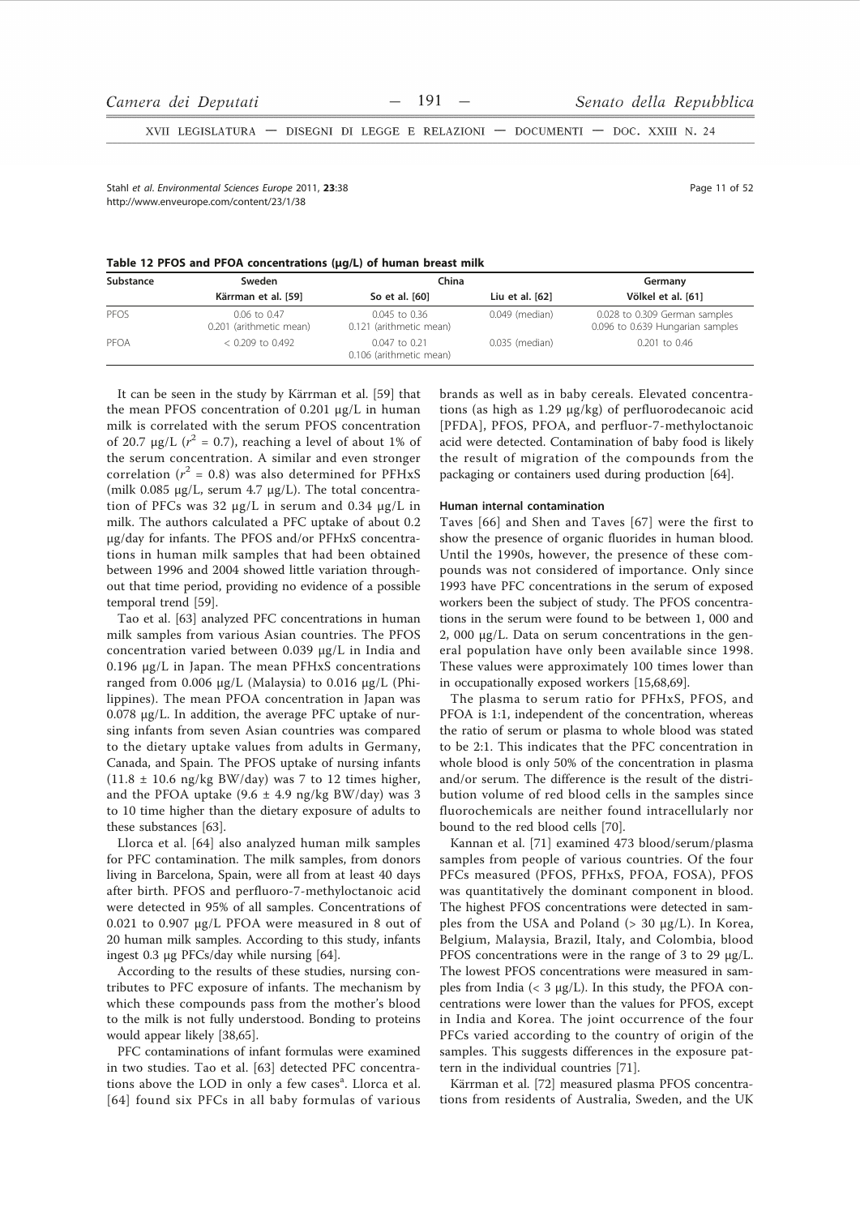XVII LEGISLATURA - DISEGNI DI LEGGE E RELAZIONI - DOCUMENTI - DOC. XXIII N. 24

Stahl et al. Environmental Sciences Europe 2011, 23:38 http://www.enveurope.com/content/23/1/38

Page 11 of 52

|  |  |  |  |  | Table 12 PFOS and PFOA concentrations (µg/L) of human breast milk |  |  |  |  |  |
|--|--|--|--|--|-------------------------------------------------------------------|--|--|--|--|--|
|--|--|--|--|--|-------------------------------------------------------------------|--|--|--|--|--|

| Substance | Sweden                                  | China                                        | Germany         |                                                                   |
|-----------|-----------------------------------------|----------------------------------------------|-----------------|-------------------------------------------------------------------|
|           | Kärrman et al. [59]                     | So et al. [60]                               | Liu et al. [62] | Völkel et al. [61]                                                |
| PEOS      | 0.06 to 0.47<br>0.201 (arithmetic mean) | $0.045$ to $0.36$<br>0.121 (arithmetic mean) | 0.049 (median)  | 0.028 to 0.309 German samples<br>0.096 to 0.639 Hungarian samples |
| PFOA      | $< 0.209$ to 0.492                      | $0.047$ to 0.21<br>0.106 (arithmetic mean)   | 0.035 (median)  | 0.201 to 0.46                                                     |

It can be seen in the study by Kärrman et al. [59] that the mean PFOS concentration of 0.201 µg/L in human milk is correlated with the serum PFOS concentration of 20.7  $\mu$ g/L ( $r^2$  = 0.7), reaching a level of about 1% of the serum concentration. A similar and even stronger correlation ( $r^2$  = 0.8) was also determined for PFHxS (milk 0.085  $\mu$ g/L, serum 4.7  $\mu$ g/L). The total concentration of PFCs was 32  $\mu$ g/L in serum and 0.34  $\mu$ g/L in milk. The authors calculated a PFC uptake of about 0.2 µg/day for infants. The PFOS and/or PFHxS concentrations in human milk samples that had been obtained between 1996 and 2004 showed little variation throughout that time period, providing no evidence of a possible temporal trend [59].

Tao et al. [63] analyzed PFC concentrations in human milk samples from various Asian countries. The PFOS concentration varied between 0.039 µg/L in India and 0.196 μg/L in Japan. The mean PFHxS concentrations ranged from 0.006 μg/L (Malaysia) to 0.016 μg/L (Philippines). The mean PFOA concentration in Japan was 0.078 µg/L. In addition, the average PFC uptake of nursing infants from seven Asian countries was compared to the dietary uptake values from adults in Germany, Canada, and Spain. The PFOS uptake of nursing infants  $(11.8 \pm 10.6 \text{ ng/kg BW/day})$  was 7 to 12 times higher, and the PFOA uptake  $(9.6 \pm 4.9 \text{ ng/kg BW/day})$  was 3 to 10 time higher than the dietary exposure of adults to these substances [63].

Llorca et al. [64] also analyzed human milk samples for PFC contamination. The milk samples, from donors living in Barcelona, Spain, were all from at least 40 days after birth. PFOS and perfluoro-7-methyloctanoic acid were detected in 95% of all samples. Concentrations of 0.021 to 0.907 µg/L PFOA were measured in 8 out of 20 human milk samples. According to this study, infants ingest 0.3 µg PFCs/day while nursing [64].

According to the results of these studies, nursing contributes to PFC exposure of infants. The mechanism by which these compounds pass from the mother's blood to the milk is not fully understood. Bonding to proteins would appear likely [38,65].

PFC contaminations of infant formulas were examined in two studies. Tao et al. [63] detected PFC concentrations above the LOD in only a few cases<sup>a</sup>. Llorca et al. [64] found six PFCs in all baby formulas of various brands as well as in baby cereals. Elevated concentrations (as high as 1.29 µg/kg) of perfluorodecanoic acid [PFDA], PFOS, PFOA, and perfluor-7-methyloctanoic acid were detected. Contamination of baby food is likely the result of migration of the compounds from the packaging or containers used during production [64].

#### Human internal contamination

Taves [66] and Shen and Taves [67] were the first to show the presence of organic fluorides in human blood. Until the 1990s, however, the presence of these compounds was not considered of importance. Only since 1993 have PFC concentrations in the serum of exposed workers been the subject of study. The PFOS concentrations in the serum were found to be between 1, 000 and 2, 000  $\mu$ g/L. Data on serum concentrations in the general population have only been available since 1998. These values were approximately 100 times lower than in occupationally exposed workers [15,68,69].

The plasma to serum ratio for PFHxS, PFOS, and PFOA is 1:1, independent of the concentration, whereas the ratio of serum or plasma to whole blood was stated to be 2:1. This indicates that the PFC concentration in whole blood is only 50% of the concentration in plasma and/or serum. The difference is the result of the distribution volume of red blood cells in the samples since fluorochemicals are neither found intracellularly nor bound to the red blood cells [70].

Kannan et al. [71] examined 473 blood/serum/plasma samples from people of various countries. Of the four PFCs measured (PFOS, PFHxS, PFOA, FOSA), PFOS was quantitatively the dominant component in blood. The highest PFOS concentrations were detected in samples from the USA and Poland (> 30 µg/L). In Korea, Belgium, Malaysia, Brazil, Italy, and Colombia, blood PFOS concentrations were in the range of 3 to 29  $\mu$ g/L. The lowest PFOS concentrations were measured in samples from India (<  $3 \mu g/L$ ). In this study, the PFOA concentrations were lower than the values for PFOS, except in India and Korea. The joint occurrence of the four PFCs varied according to the country of origin of the samples. This suggests differences in the exposure pattern in the individual countries [71].

Kärrman et al. [72] measured plasma PFOS concentrations from residents of Australia, Sweden, and the UK